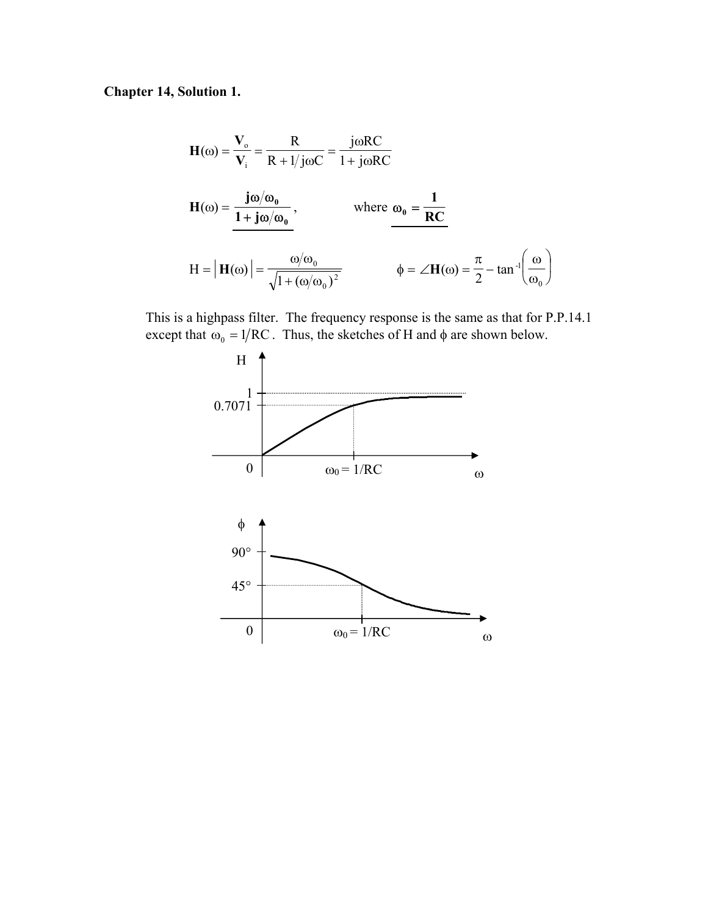**Chapter 14, Solution 1.** 

$$
H(\omega) = \frac{V_{o}}{V_{i}} = \frac{R}{R + 1/j\omega C} = \frac{j\omega RC}{1 + j\omega RC}
$$
  
\n
$$
H(\omega) = \frac{j\omega/\omega_{0}}{1 + j\omega/\omega_{0}}, \qquad \text{where } \omega_{0} = \frac{1}{RC}
$$
  
\n
$$
H = |H(\omega)| = \frac{\omega/\omega_{0}}{\sqrt{1 + (\omega/\omega_{0})^{2}}} \qquad \phi = \angle H(\omega) = \frac{\pi}{2} - \tan^{-1}\left(\frac{\omega}{\omega_{0}}\right)
$$

This is a highpass filter. The frequency response is the same as that for P.P.14.1 except that  $\omega_0 = 1/RC$ . Thus, the sketches of H and  $\phi$  are shown below.

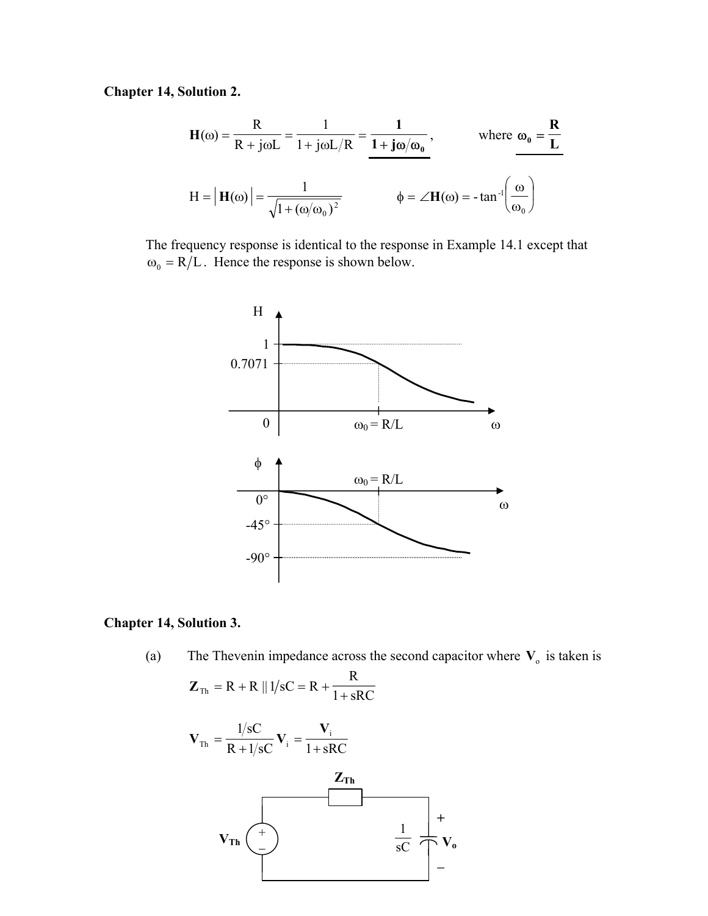**Chapter 14, Solution 2.** 

$$
\mathbf{H}(\omega) = \frac{\mathbf{R}}{\mathbf{R} + \mathbf{j}\omega L} = \frac{1}{1 + \mathbf{j}\omega L / \mathbf{R}} = \frac{1}{1 + \mathbf{j}\omega/\omega_0}, \quad \text{where } \omega_0 = \frac{\mathbf{R}}{\mathbf{L}}
$$

$$
\mathbf{H} = |\mathbf{H}(\omega)| = \frac{1}{\sqrt{1 + (\omega/\omega_0)^2}} \qquad \phi = \angle \mathbf{H}(\omega) = -\tan^{-1}\left(\frac{\omega}{\omega_0}\right)
$$

The frequency response is identical to the response in Example 14.1 except that  $\omega_0 = R/L$ . Hence the response is shown below.



#### **Chapter 14, Solution 3.**

(a) The Thevenin impedance across the second capacitor where  $V_0$  is taken is

$$
\mathbf{Z}_{\text{Th}} = \mathbf{R} + \mathbf{R} \parallel 1/\text{sC} = \mathbf{R} + \frac{\mathbf{R}}{1 + \text{sRC}}
$$

$$
\mathbf{V}_{\text{Th}} = \frac{1/\text{sC}}{R + 1/\text{sC}} \mathbf{V}_{\text{i}} = \frac{\mathbf{V}_{\text{i}}}{1 + \text{sRC}}
$$
\n
$$
\mathbf{Z}_{\text{Th}}
$$
\n
$$
\mathbf{V}_{\text{Th}} \begin{pmatrix} + & & & \\ - & & & \\ & & & \frac{1}{\text{sC}} \\ - & & & \end{pmatrix} + \mathbf{V}_{\text{o}}
$$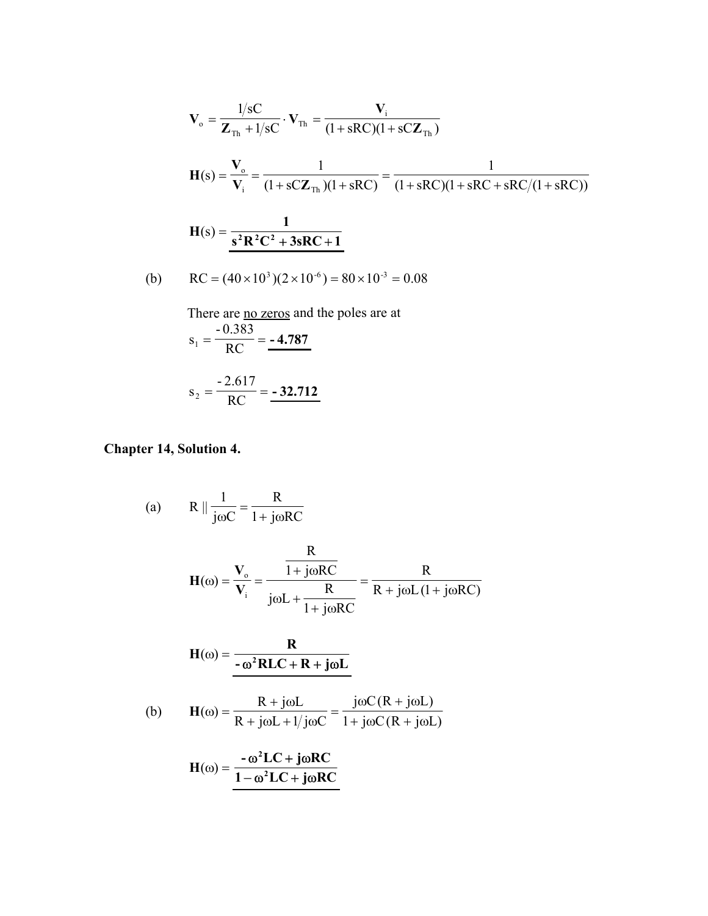$$
V_o = \frac{1/sC}{Z_{\text{Th}} + 1/sC} \cdot V_{\text{Th}} = \frac{V_i}{(1 + sRC)(1 + sCZ_{\text{Th}})}
$$
  
\n
$$
H(s) = \frac{V_o}{V_i} = \frac{1}{(1 + sCZ_{\text{Th}})(1 + sRC)} = \frac{1}{(1 + sRC)(1 + sRC + sRC/(1 + sRC))}
$$
  
\n
$$
H(s) = \frac{1}{s^2R^2C^2 + 3sRC + 1}
$$

(b) 
$$
RC = (40 \times 10^3)(2 \times 10^{-6}) = 80 \times 10^{-3} = 0.08
$$

There are no zeros and the poles are at

$$
s_1 = \frac{-0.383}{RC} = -4.787
$$
  

$$
= 2.617
$$

$$
s_2 = \frac{-2.617}{RC} = -32.712
$$

**Chapter 14, Solution 4.** 

(a) 
$$
R \parallel \frac{1}{j\omega C} = \frac{R}{1 + j\omega RC}
$$
  
\n $H(\omega) = \frac{V_o}{V_i} = \frac{\frac{R}{1 + j\omega RC}}{j\omega L + \frac{R}{1 + j\omega RC}} = \frac{R}{R + j\omega L (1 + j\omega RC)}$   
\n $H(\omega) = \frac{R}{-\omega^2 R LC + R + j\omega L}$   
\n(b)  $H(\omega) = \frac{R + j\omega L}{R + j\omega L + 1/j\omega C} = \frac{j\omega C (R + j\omega L)}{1 + j\omega C (R + j\omega L)}$   
\n $H(\omega) = \frac{-\omega^2 LC + j\omega RC}{1 - \omega^2 LC + j\omega RC}$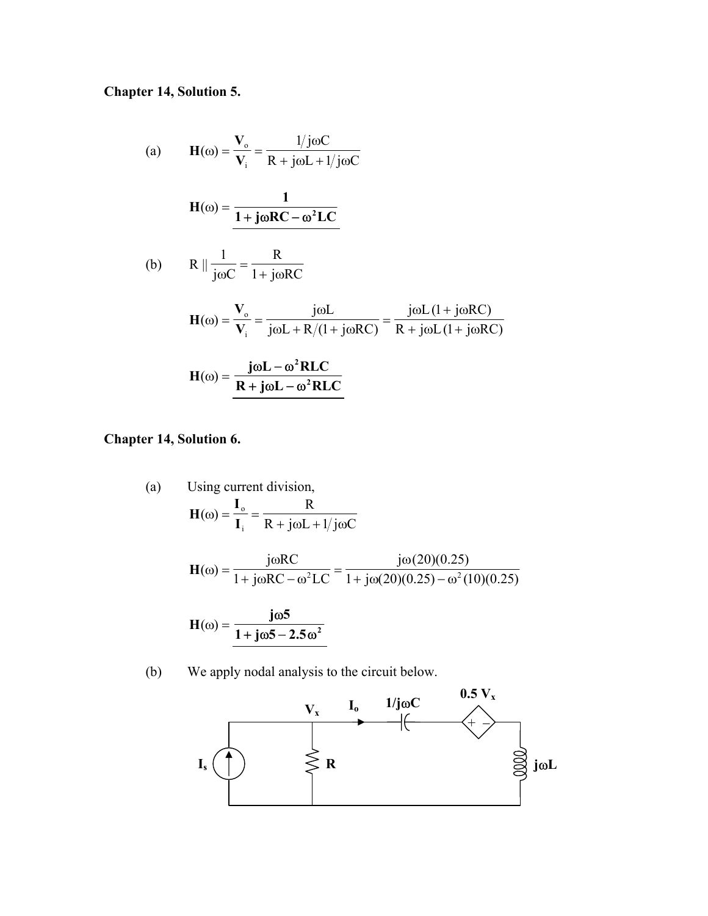# **Chapter 14, Solution 5.**

(a) 
$$
H(\omega) = \frac{V_o}{V_i} = \frac{1/j\omega C}{R + j\omega L + 1/j\omega C}
$$
  
\n
$$
H(\omega) = \frac{1}{1 + j\omega RC - \omega^2 LC}
$$
  
\n(b) 
$$
R \parallel \frac{1}{j\omega C} = \frac{R}{1 + j\omega RC}
$$
  
\n
$$
H(\omega) = \frac{V_o}{V_i} = \frac{j\omega L}{j\omega L + R/(1 + j\omega RC)} = \frac{j\omega L (1 + j\omega RC)}{R + j\omega L (1 + j\omega RC)}
$$
  
\n
$$
H(\omega) = \frac{j\omega L - \omega^2 R LC}{R + j\omega L - \omega^2 R LC}
$$

**Chapter 14, Solution 6.** 

(a) Using current division,  
\n
$$
\mathbf{H}(\omega) = \frac{\mathbf{I}_{\text{o}}}{\mathbf{I}_{\text{i}}} = \frac{\mathbf{R}}{\mathbf{R} + \text{j}\omega\mathbf{L} + 1/\text{j}\omega\mathbf{C}}
$$
\n
$$
\mathbf{H}(\omega) = \frac{\text{j}\omega\mathbf{R}\mathbf{C}}{1 + \text{j}\omega\mathbf{R}\mathbf{C} - \omega^2\mathbf{L}\mathbf{C}} = \frac{\text{j}\omega(20)(0.25)}{1 + \text{j}\omega(20)(0.25) - \omega^2(10)(0.25)}
$$
\n
$$
\mathbf{H}(\omega) = \frac{\text{j}\omega 5}{1 + \text{j}\omega 5 - 2.5\omega^2}
$$

(b) We apply nodal analysis to the circuit below.

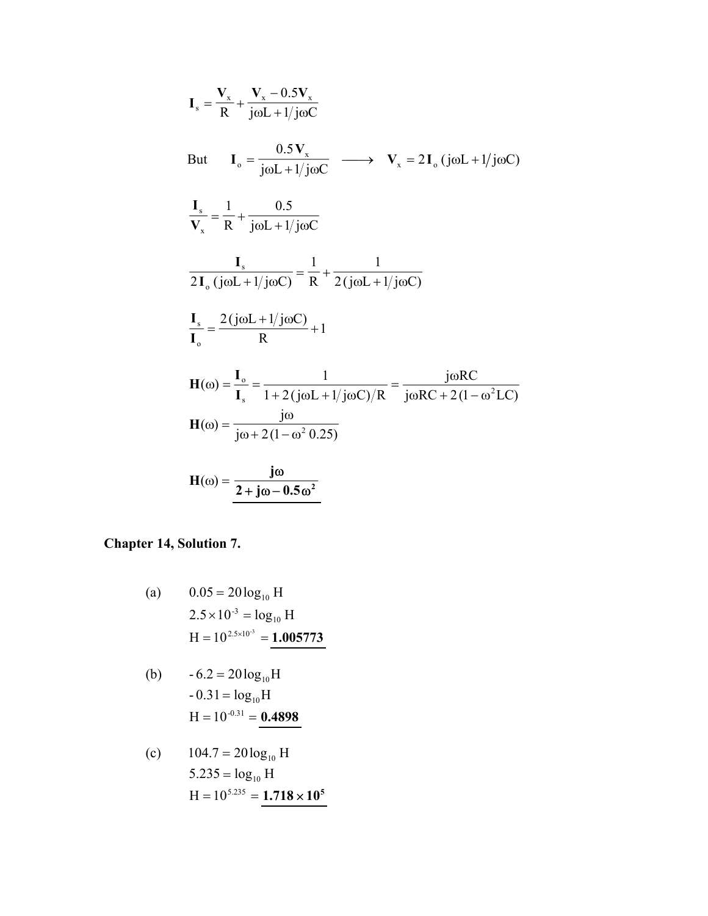$$
I_s = \frac{V_x}{R} + \frac{V_x - 0.5V_x}{j\omega L + 1/j\omega C}
$$
  
But 
$$
I_o = \frac{0.5V_x}{j\omega L + 1/j\omega C} \longrightarrow V_x = 2I_o (j\omega L + 1/j\omega C)
$$

$$
\frac{I_s}{V_x} = \frac{1}{R} + \frac{0.5}{j\omega L + 1/j\omega C}
$$

$$
\frac{I_s}{2I_o (j\omega L + 1/j\omega C)} = \frac{1}{R} + \frac{1}{2(j\omega L + 1/j\omega C)}
$$

$$
\frac{I_s}{I_o} = \frac{2(j\omega L + 1/j\omega C)}{R} + 1
$$

$$
H(\omega) = \frac{I_o}{I_s} = \frac{1}{1 + 2(j\omega L + 1/j\omega C)/R} = \frac{j\omega RC}{j\omega RC + 2(1 - \omega^2 LC)}
$$

$$
H(\omega) = \frac{j\omega}{j\omega + 2(1 - \omega^2 0.25)}
$$

$$
H(\omega) = \frac{j\omega}{2 + j\omega - 0.5\omega^2}
$$

# **Chapter 14, Solution 7.**

(a) 
$$
0.05 = 20 \log_{10} H
$$
  
\n $2.5 \times 10^{-3} = \log_{10} H$   
\n $H = 10^{2.5 \times 10^{-3}} = 1.005773$ 

(b) 
$$
-6.2 = 20 \log_{10} H
$$
  
\n $-0.31 = \log_{10} H$   
\n $H = 10^{-0.31} =$ **0.4898**

(c) 
$$
104.7 = 20 \log_{10} H
$$
  
\n $5.235 = \log_{10} H$   
\n $H = 10^{5.235} = 1.718 \times 10^5$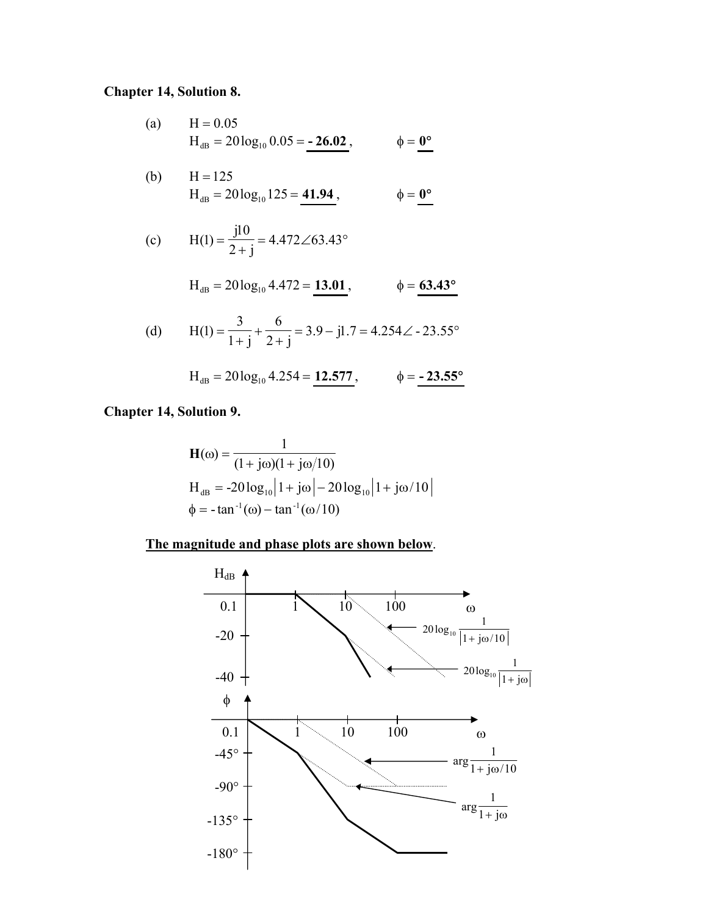### **Chapter 14, Solution 8.**

(a) H = 0.05  
H<sub>dB</sub> = 20 log<sub>10</sub> 0.05 = -26.02, 
$$
\phi = 0^{\circ}
$$

(b) 
$$
H = 125
$$
  
\n $H_{dB} = 20 \log_{10} 125 = 41.94$ ,  $\phi = 0^{\circ}$ 

(c) 
$$
H(1) = \frac{j10}{2+j} = 4.472 \angle 63.43^{\circ}
$$

$$
H_{dB} = 20\log_{10} 4.472 = 13.01
$$
,  $\phi = 63.43^{\circ}$ 

(d) 
$$
H(1) = \frac{3}{1+j} + \frac{6}{2+j} = 3.9 - j1.7 = 4.254 \angle -23.55^{\circ}
$$

$$
H_{dB} = 20\log_{10} 4.254 = 12.577, \qquad \phi = -23.55^{\circ}
$$

### **Chapter 14, Solution 9.**

$$
\mathbf{H}(\omega) = \frac{1}{(1 + j\omega)(1 + j\omega/10)}
$$
  
\n
$$
\mathbf{H}_{dB} = -20 \log_{10} |1 + j\omega| - 20 \log_{10} |1 + j\omega/10|
$$
  
\n
$$
\phi = -\tan^{-1}(\omega) - \tan^{-1}(\omega/10)
$$

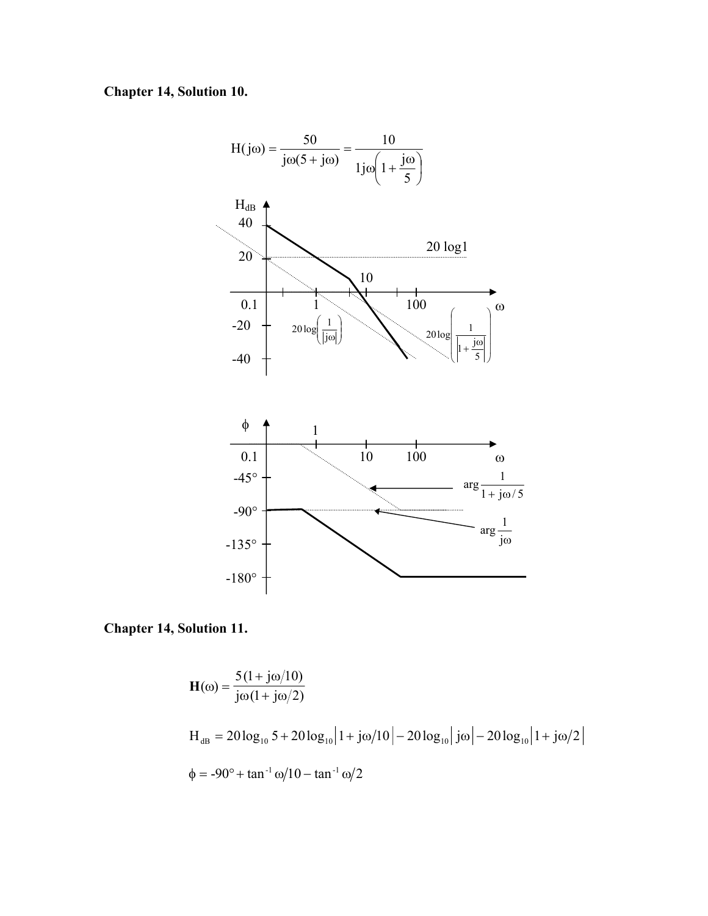**Chapter 14, Solution 10.** 



**Chapter 14, Solution 11.** 

$$
\mathbf{H}(\omega) = \frac{5(1 + j\omega/10)}{j\omega(1 + j\omega/2)}
$$
  
\n
$$
\mathbf{H}_{dB} = 20 \log_{10} 5 + 20 \log_{10} |1 + j\omega/10| - 20 \log_{10} |j\omega| - 20 \log_{10} |1 + j\omega/2|
$$
  
\n
$$
\phi = -90^{\circ} + \tan^{-1} \omega/10 - \tan^{-1} \omega/2
$$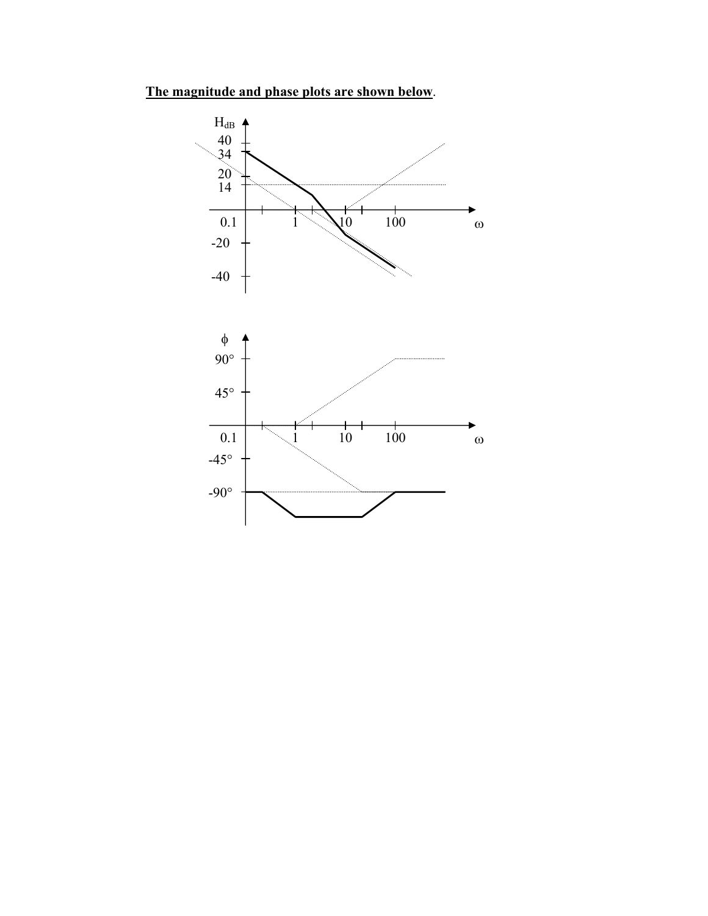**The magnitude and phase plots are shown below**.

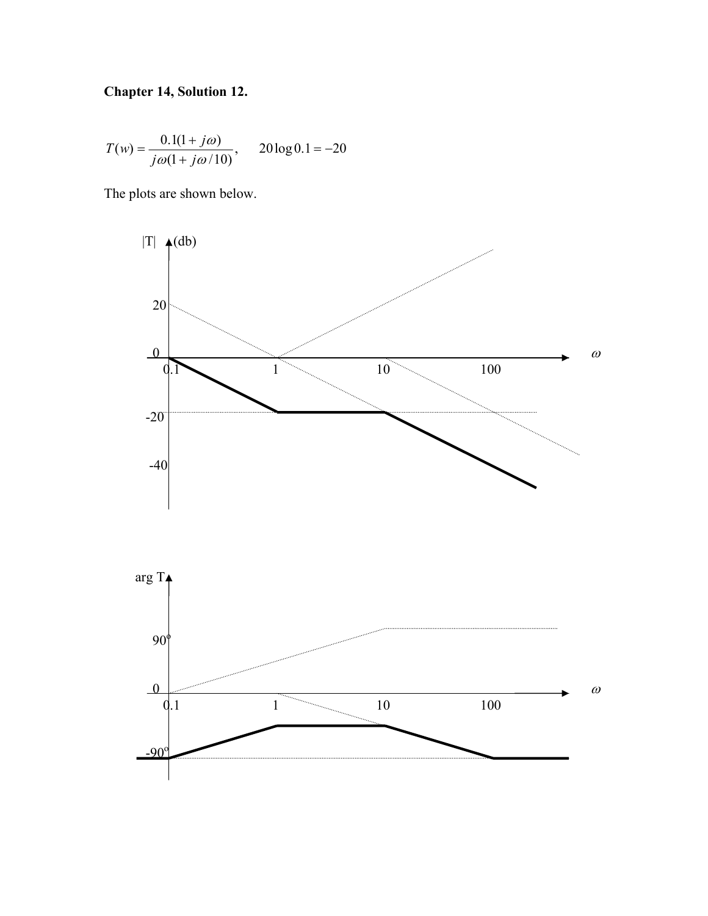# **Chapter 14, Solution 12.**

$$
T(w) = \frac{0.1(1+j\omega)}{j\omega(1+j\omega/10)}, \qquad 20\log 0.1 = -20
$$

The plots are shown below.

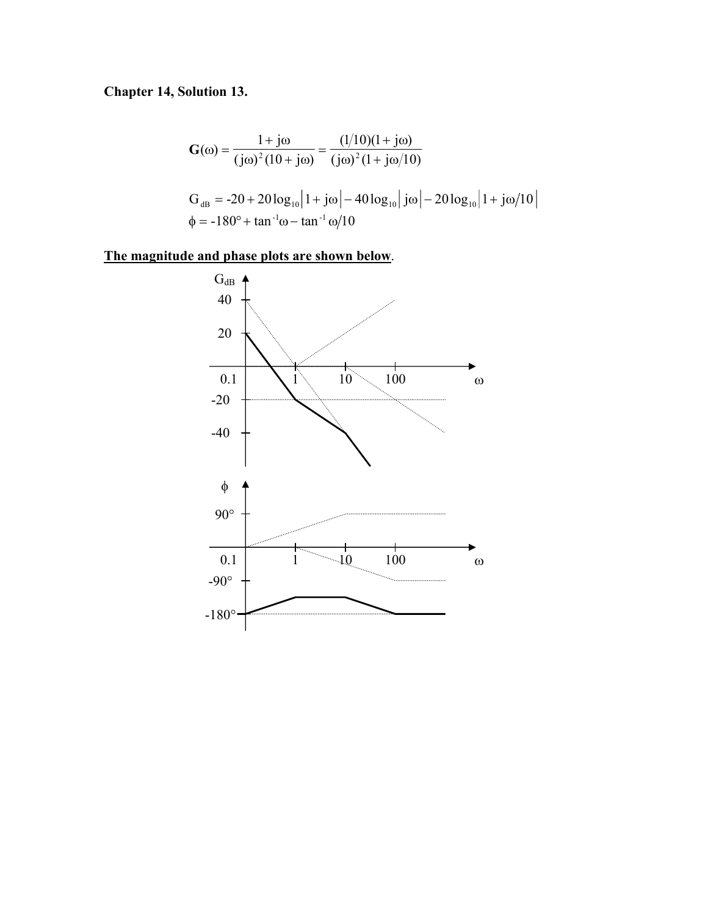# **Chapter 14, Solution 13.**

$$
G(\omega) = \frac{1 + j\omega}{(j\omega)^2 (10 + j\omega)} = \frac{(1/10)(1 + j\omega)}{(j\omega)^2 (1 + j\omega/10)}
$$
  
\n
$$
G_{dB} = -20 + 20 \log_{10} |1 + j\omega| - 40 \log_{10} |j\omega| - 20 \log_{10} |1 + j\omega/10|
$$
  
\n
$$
\phi = -180^\circ + \tan^{-1}\omega - \tan^{-1}\omega/10
$$

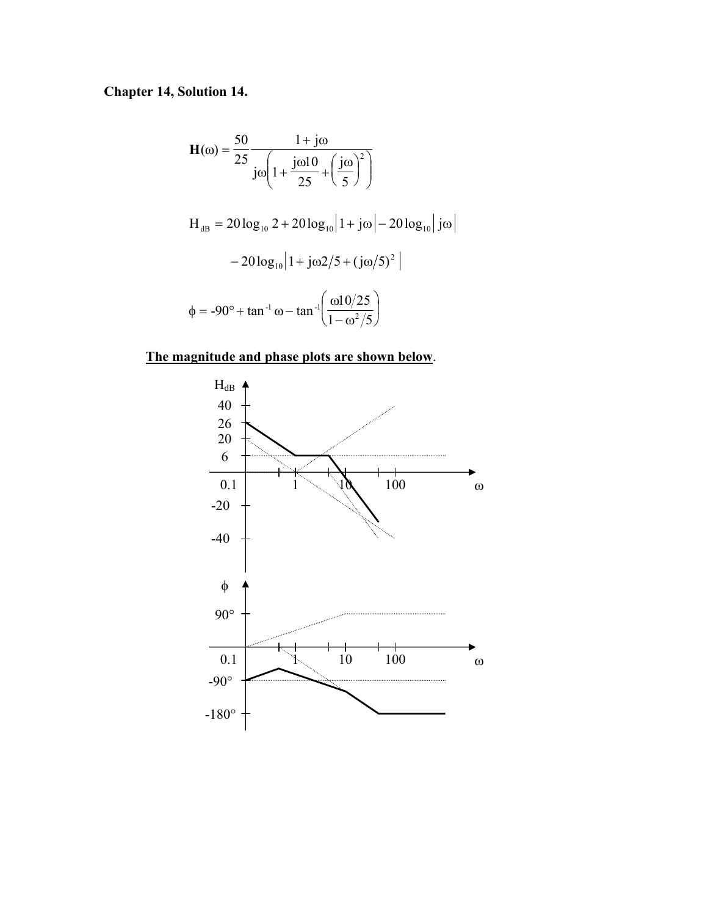# **Chapter 14, Solution 14.**

$$
\mathbf{H}(\omega) = \frac{50}{25} \frac{1 + j\omega}{j\omega \left(1 + \frac{j\omega 10}{25} + \left(\frac{j\omega}{5}\right)^2\right)}
$$
  
\n
$$
\mathbf{H}_{dB} = 20 \log_{10} 2 + 20 \log_{10} |1 + j\omega| - 20 \log_{10} |j\omega - 20 \log_{10} |1 + j\omega 2/5 + (j\omega/5)^2|
$$
  
\n
$$
\phi = -90^\circ + \tan^{-1} \omega - \tan^{-1} \left(\frac{\omega 10/25}{1 - \omega^2/5}\right)
$$

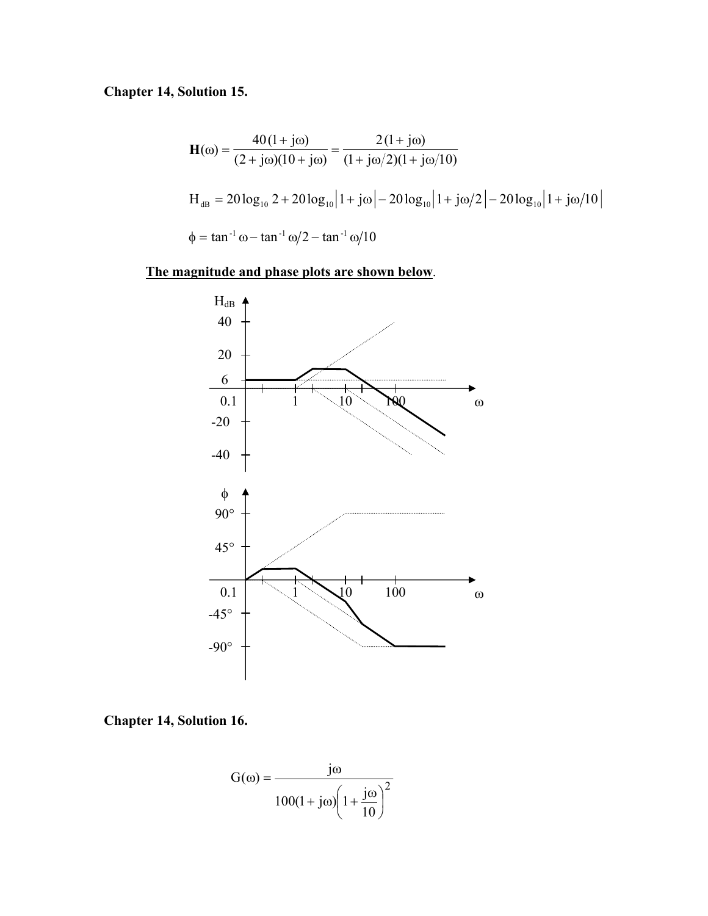# **Chapter 14, Solution 15.**

$$
\mathbf{H}(\omega) = \frac{40(1 + j\omega)}{(2 + j\omega)(10 + j\omega)} = \frac{2(1 + j\omega)}{(1 + j\omega/2)(1 + j\omega/10)}
$$
  
\n
$$
\mathbf{H}_{dB} = 20 \log_{10} 2 + 20 \log_{10} |1 + j\omega| - 20 \log_{10} |1 + j\omega/2| - 20 \log_{10} |1 + j\omega/10|
$$
  
\n
$$
\phi = \tan^{-1} \omega - \tan^{-1} \omega/2 - \tan^{-1} \omega/10
$$



**Chapter 14, Solution 16.** 

$$
G(\omega) = \frac{j\omega}{100(1+j\omega)\left(1+\frac{j\omega}{10}\right)^2}
$$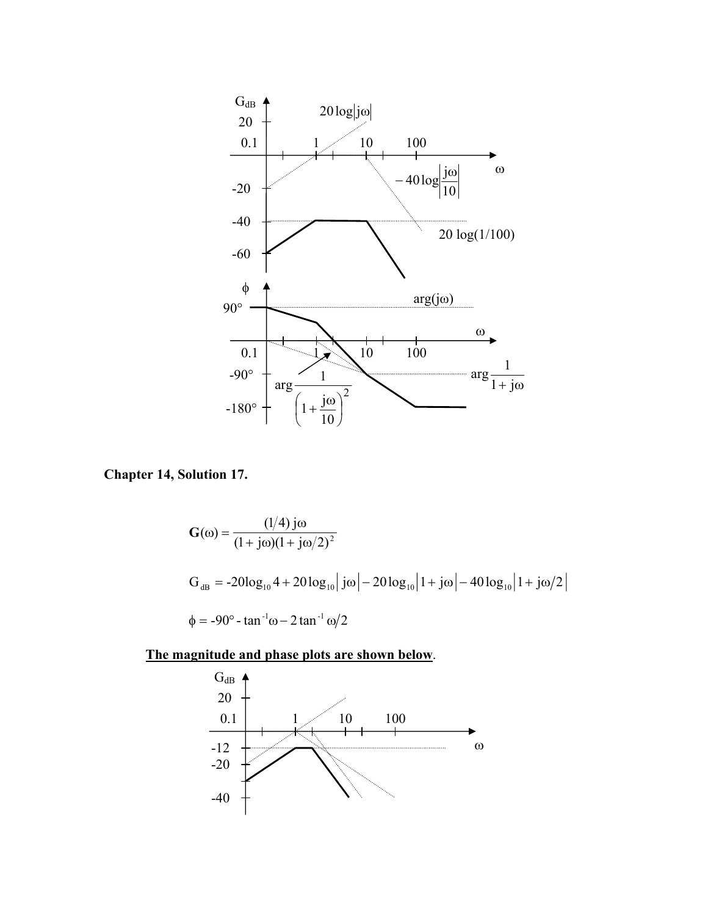

**Chapter 14, Solution 17.** 

$$
G(\omega) = \frac{(1/4) j\omega}{(1 + j\omega)(1 + j\omega/2)^2}
$$
  
\n
$$
G_{dB} = -20\log_{10} 4 + 20\log_{10} |j\omega| - 20\log_{10} |1 + j\omega| - 40\log_{10} |1 + j\omega/2|
$$
  
\n
$$
\phi = -90^\circ - \tan^{-1}\omega - 2\tan^{-1}\omega/2
$$

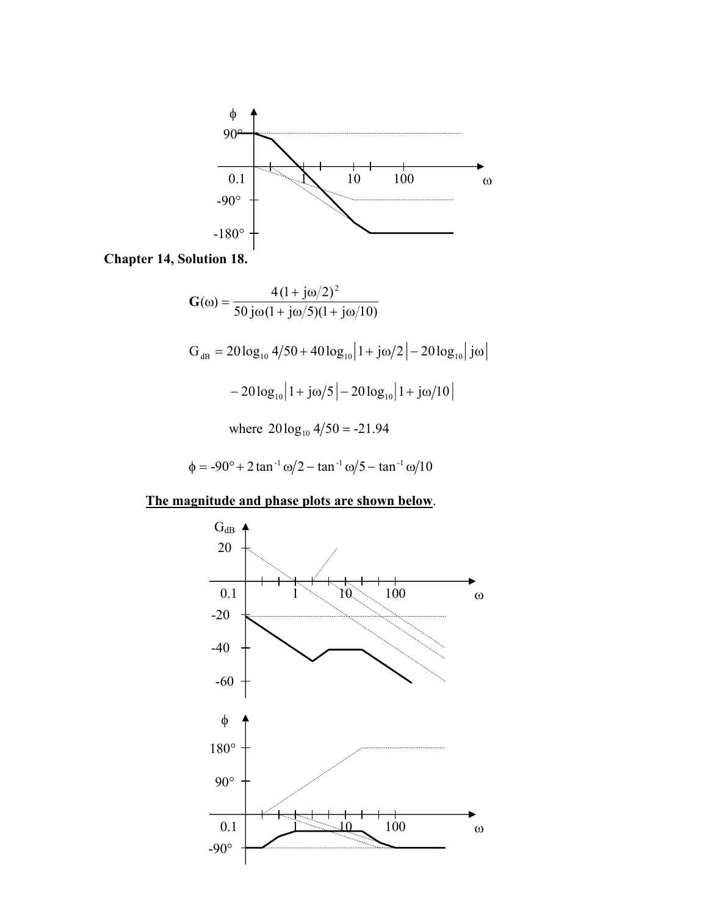

**Chapter 14, Solution 18.** 

$$
G(\omega) = \frac{4(1 + j\omega/2)^2}{50 j\omega(1 + j\omega/5)(1 + j\omega/10)}
$$
  
\n
$$
G_{dB} = 20 \log_{10} 4/50 + 40 \log_{10} |1 + j\omega/2| - 20 \log_{10} |j\omega - 20 \log_{10} |1 + j\omega/5| - 20 \log_{10} |1 + j\omega/10|
$$
  
\nwhere  $20 \log_{10} 4/50 = -21.94$ 

$$
\phi = -90^{\circ} + 2 \tan^{-1} \omega / 2 - \tan^{-1} \omega / 5 - \tan^{-1} \omega / 10
$$

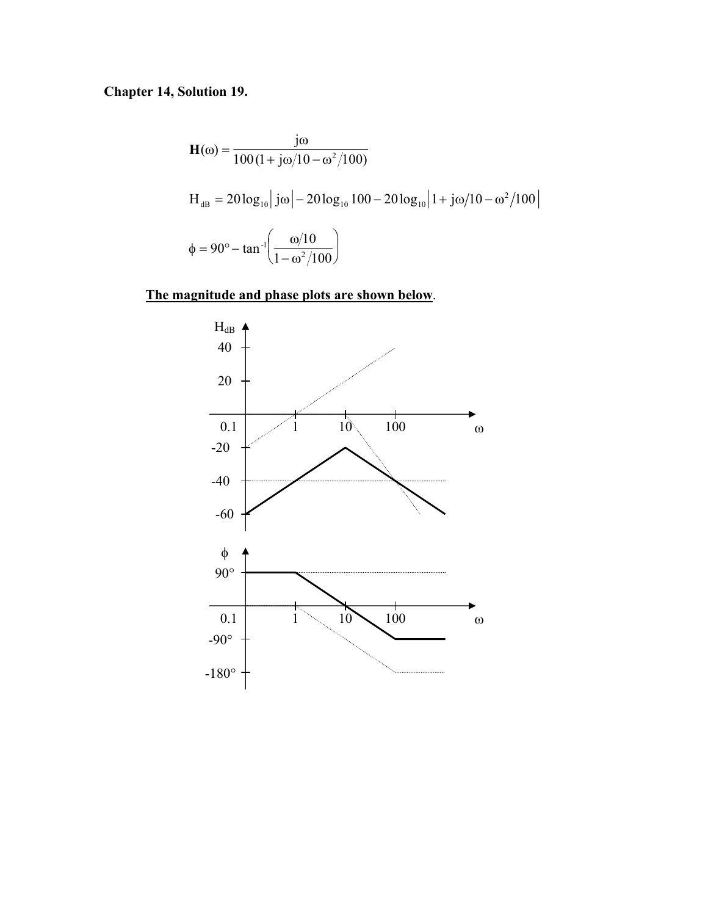# **Chapter 14, Solution 19.**

$$
\mathbf{H}(\omega) = \frac{j\omega}{100(1 + j\omega/10 - \omega^2/100)}
$$
  
\n
$$
\mathbf{H}_{dB} = 20 \log_{10} |j\omega| - 20 \log_{10} 100 - 20 \log_{10} |1 + j\omega/10 - \omega^2/100|
$$
  
\n
$$
\phi = 90^\circ - \tan^{-1} \left( \frac{\omega/10}{1 - \omega^2/100} \right)
$$

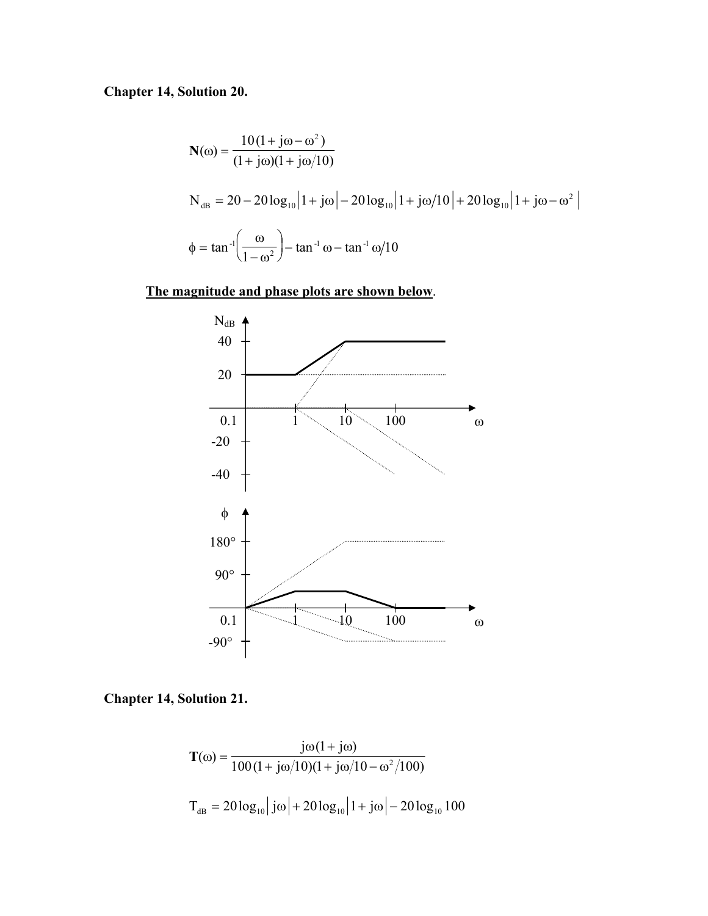# **Chapter 14, Solution 20.**

$$
N(\omega) = \frac{10(1 + j\omega - \omega^2)}{(1 + j\omega)(1 + j\omega/10)}
$$
  
\n
$$
N_{dB} = 20 - 20 \log_{10} |1 + j\omega| - 20 \log_{10} |1 + j\omega/10| + 20 \log_{10} |1 + j\omega - \omega^2|
$$
  
\n
$$
\phi = \tan^{-1} \left( \frac{\omega}{1 - \omega^2} \right) - \tan^{-1} \omega - \tan^{-1} \omega/10
$$

### **The magnitude and phase plots are shown below**.



### **Chapter 14, Solution 21.**

$$
T(\omega) = \frac{j\omega(1 + j\omega)}{100(1 + j\omega/10)(1 + j\omega/10 - \omega^2/100)}
$$

$$
T_{dB} = 20 \log_{10} |j\omega| + 20 \log_{10} |1 + j\omega| - 20 \log_{10} 100
$$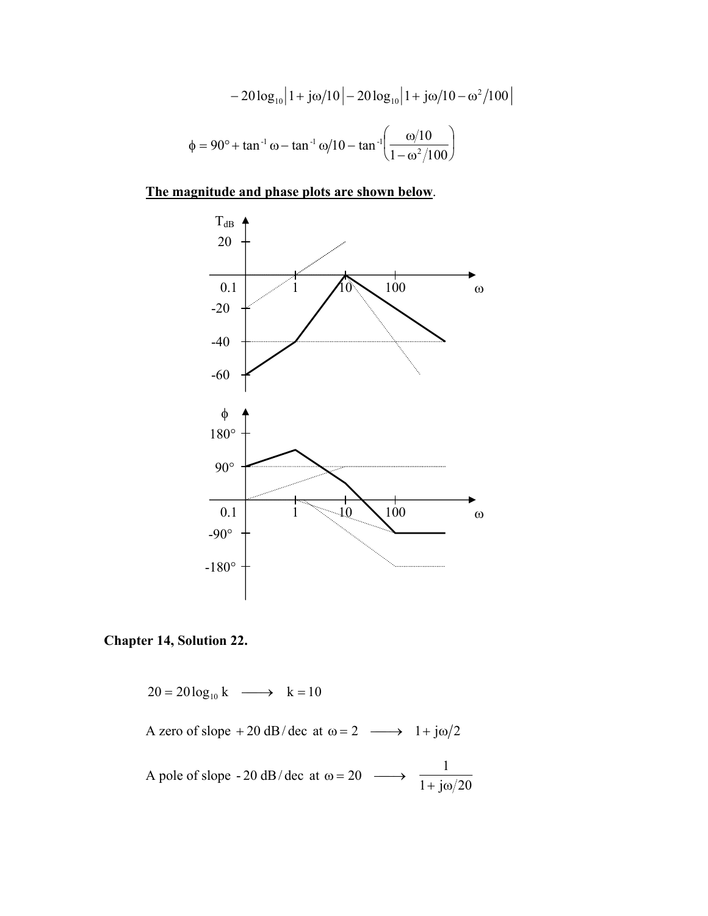$$
-20\log_{10}|1 + j\omega/10| - 20\log_{10}|1 + j\omega/10 - \omega^2/100
$$
  

$$
\phi = 90^\circ + \tan^{-1}\omega - \tan^{-1}\omega/10 - \tan^{-1}\left(\frac{\omega/10}{1 - \omega^2/100}\right)
$$

#### **The magnitude and phase plots are shown below**.



#### **Chapter 14, Solution 22.**

 $20 = 20 \log_{10} k \longrightarrow k = 10$ A zero of slope + 20 dB/ dec at  $\omega = 2 \longrightarrow 1 + j\omega/2$ A pole of slope  $-20$  dB/dec at  $1 + j\omega/20$ 1 20  $+$  j $\omega$  $\omega = 20 \longrightarrow$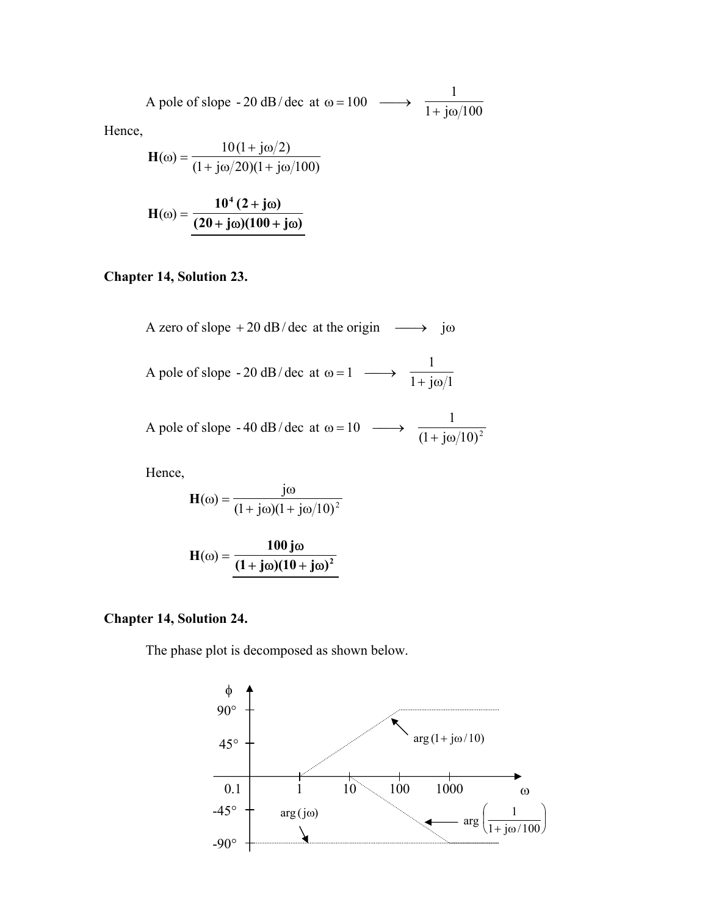A pole of slope - 20 dB/dec at 
$$
\omega = 100 \longrightarrow \frac{1}{1 + j\omega/100}
$$

Hence,

$$
\mathbf{H}(\omega) = \frac{10(1 + j\omega/2)}{(1 + j\omega/20)(1 + j\omega/100)}
$$

$$
H(\omega) = \frac{10^4 (2 + j\omega)}{(20 + j\omega)(100 + j\omega)}
$$

# **Chapter 14, Solution 23.**

A zero of slope + 20 dB/dec at the origin 
$$
\longrightarrow
$$
 j $\omega$   
A pole of slope - 20 dB/dec at  $\omega = 1 \longrightarrow \frac{1}{1 + j\omega/1}$   
A pole of slope - 40 dB/dec at  $\omega = 10 \longrightarrow \frac{1}{(1 + j\omega/10)^2}$ 

Hence,

$$
\mathbf{H}(\omega) = \frac{j\omega}{(1 + j\omega)(1 + j\omega/10)^2}
$$

$$
H(\omega) = \frac{100 j\omega}{(1 + j\omega)(10 + j\omega)^2}
$$

### **Chapter 14, Solution 24.**

The phase plot is decomposed as shown below.

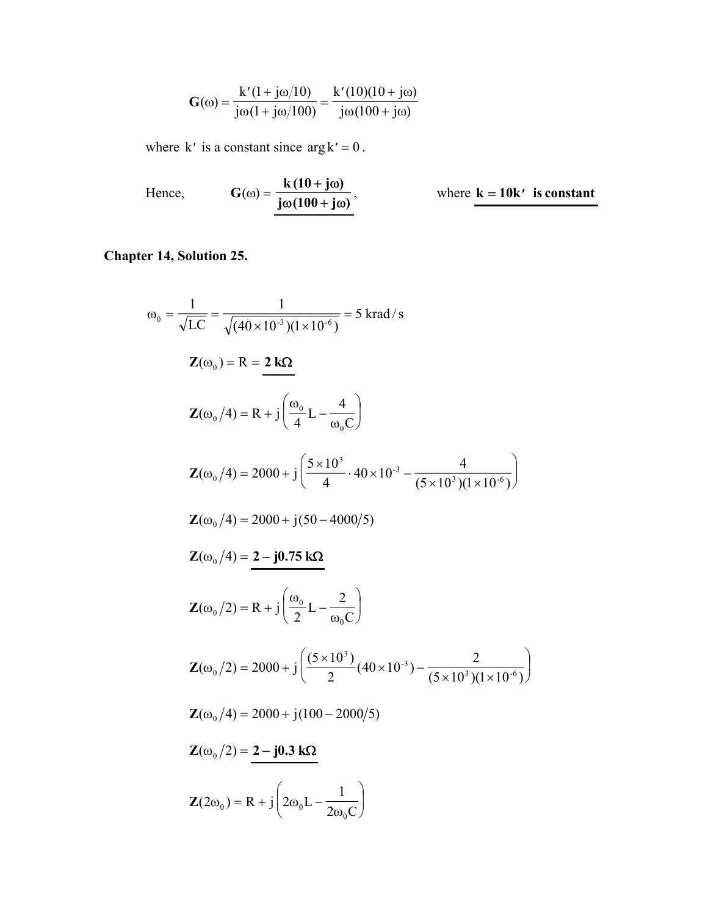$$
G(\omega) = \frac{k'(1 + j\omega/10)}{j\omega(1 + j\omega/100)} = \frac{k'(10)(10 + j\omega)}{j\omega(100 + j\omega)}
$$

where k' is a constant since  $\arg k' = 0$ .

Hence, 
$$
G(\omega) = \frac{k(10 + j\omega)}{j\omega(100 + j\omega)}
$$
, where  $k = 10k'$  is constant

# **Chapter 14, Solution 25.**

$$
\omega_0 = \frac{1}{\sqrt{LC}} = \frac{1}{\sqrt{(40 \times 10^{-3})(1 \times 10^{-6})}} = 5 \text{ krad/s}
$$
  
\n
$$
\mathbf{Z}(\omega_0) = R = \frac{2 \text{ k}\Omega}{4}
$$
  
\n
$$
\mathbf{Z}(\omega_0/4) = R + j \left(\frac{\omega_0}{4} L - \frac{4}{\omega_0 C}\right)
$$
  
\n
$$
\mathbf{Z}(\omega_0/4) = 2000 + j \left(\frac{5 \times 10^3}{4} \cdot 40 \times 10^{-3} - \frac{4}{(5 \times 10^3)(1 \times 10^{-6})}\right)
$$
  
\n
$$
\mathbf{Z}(\omega_0/4) = 2000 + j(50 - 4000/5)
$$
  
\n
$$
\mathbf{Z}(\omega_0/4) = \frac{2 - j0.75 \text{ k}\Omega}{2}
$$
  
\n
$$
\mathbf{Z}(\omega_0/2) = R + j \left(\frac{\omega_0}{2} L - \frac{2}{\omega_0 C}\right)
$$
  
\n
$$
\mathbf{Z}(\omega_0/2) = 2000 + j \left(\frac{(5 \times 10^3)}{2} (40 \times 10^{-3}) - \frac{2}{(5 \times 10^3)(1 \times 10^{-6})}\right)
$$
  
\n
$$
\mathbf{Z}(\omega_0/4) = 2000 + j(100 - 2000/5)
$$
  
\n
$$
\mathbf{Z}(\omega_0/2) = \frac{2 - j0.3 \text{ k}\Omega}{2}
$$
  
\n
$$
\mathbf{Z}(2\omega_0) = R + j \left(2\omega_0 L - \frac{1}{2\omega_0 C}\right)
$$

 $\boldsymbol{0}$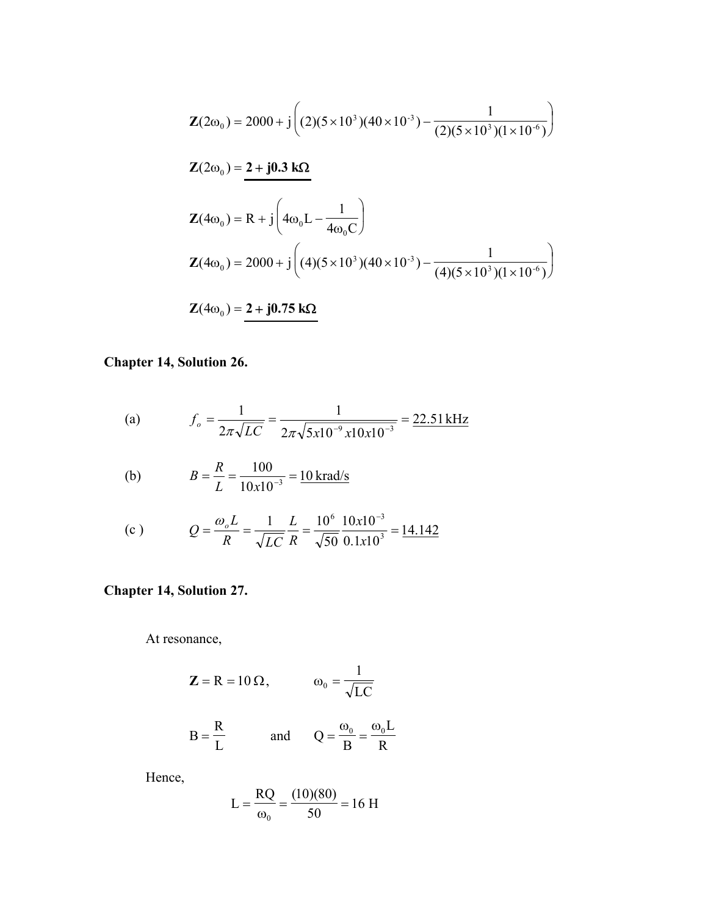$$
\mathbf{Z}(2\omega_0) = 2000 + j \left( (2)(5 \times 10^3)(40 \times 10^{-3}) - \frac{1}{(2)(5 \times 10^3)(1 \times 10^{-6})} \right)
$$
  

$$
\mathbf{Z}(2\omega_0) = \mathbf{2} + j \mathbf{0} \cdot \mathbf{3} \mathbf{k} \mathbf{\Omega}
$$
  

$$
\mathbf{Z}(4\omega_0) = \mathbf{R} + j \left( 4\omega_0 \mathbf{L} - \frac{1}{4\omega_0 \mathbf{C}} \right)
$$
  

$$
\mathbf{Z}(4\omega_0) = 2000 + j \left( (4)(5 \times 10^3)(40 \times 10^{-3}) - \frac{1}{(4)(5 \times 10^3)(1 \times 10^{-6})} \right)
$$
  

$$
\mathbf{Z}(4\omega_0) = \mathbf{2} + j \mathbf{0} \cdot \mathbf{7} \mathbf{5} \mathbf{k} \mathbf{\Omega}
$$

**Chapter 14, Solution 26.** 

(a) 
$$
f_o = \frac{1}{2\pi\sqrt{LC}} = \frac{1}{2\pi\sqrt{5x10^{-9}x10x10^{-3}}} = \frac{22.51 \text{ kHz}}{2}
$$

(b) 
$$
B = \frac{R}{L} = \frac{100}{10x10^{-3}} = \frac{10 \text{ krad/s}}{10x10^{-3}}
$$

(c) 
$$
Q = \frac{\omega_o L}{R} = \frac{1}{\sqrt{LC}} \frac{L}{R} = \frac{10^6}{\sqrt{50}} \frac{10x10^{-3}}{0.1x10^3} = \frac{14.142}{\sqrt{50}} = 14.142
$$

### **Chapter 14, Solution 27.**

At resonance,

$$
\mathbf{Z} = \mathbf{R} = 10 \,\Omega, \qquad \qquad \omega_0 = \frac{1}{\sqrt{LC}}
$$

$$
B = \frac{R}{L} \qquad \text{and} \qquad Q = \frac{\omega_0}{B} = \frac{\omega_0 L}{R}
$$

Hence,

$$
L = \frac{RQ}{\omega_0} = \frac{(10)(80)}{50} = 16 \text{ H}
$$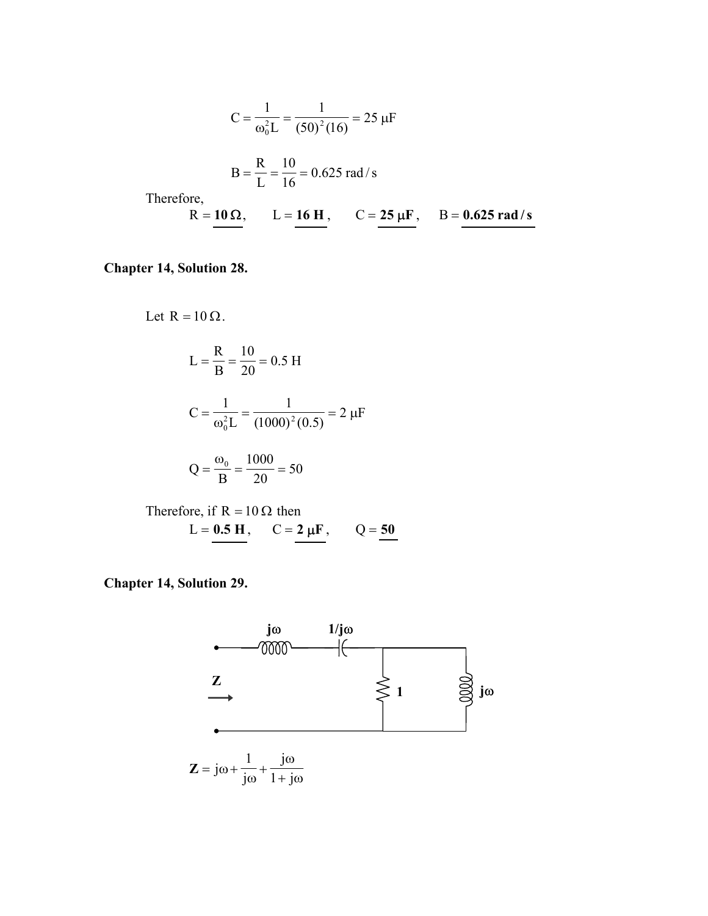$$
C = \frac{1}{\omega_0^2 L} = \frac{1}{(50)^2 (16)} = 25 \text{ }\mu\text{F}
$$
  
\n
$$
B = \frac{R}{L} = \frac{10}{16} = 0.625 \text{ rad/s}
$$
  
\nTherefore,  
\n
$$
R = \frac{10 \Omega}{16}, \qquad L = \frac{16 \text{ H}}{16}, \qquad C = \frac{25 \mu\text{F}}{16}, \qquad B = \frac{0.625 \text{ rad/s}}{1600}
$$

**Chapter 14, Solution 28.** 

Let  $R = 10 \Omega$ . 0.5 H 20 10 B R  $L = \frac{R}{R} = \frac{18}{20} =$  $\frac{1}{(1000)^2(0.5)} = 2 \ \mu F$ 1 L 1  $C = \frac{1}{\omega_0^2 L} = \frac{1}{(1000)^2}$  $=\frac{1}{\omega_0^2 L}=\frac{1}{(1000)^2(0.5)}=2 \mu$  $\frac{300}{20}$  = 50  $Q = \frac{\omega_0}{B} = \frac{1000}{20} =$ Therefore, if  $R = 10 \Omega$  then

$$
L = 0.5
$$
 H,  $C = 2 \mu$ F,  $Q = 50$ 

**Chapter 14, Solution 29.** 

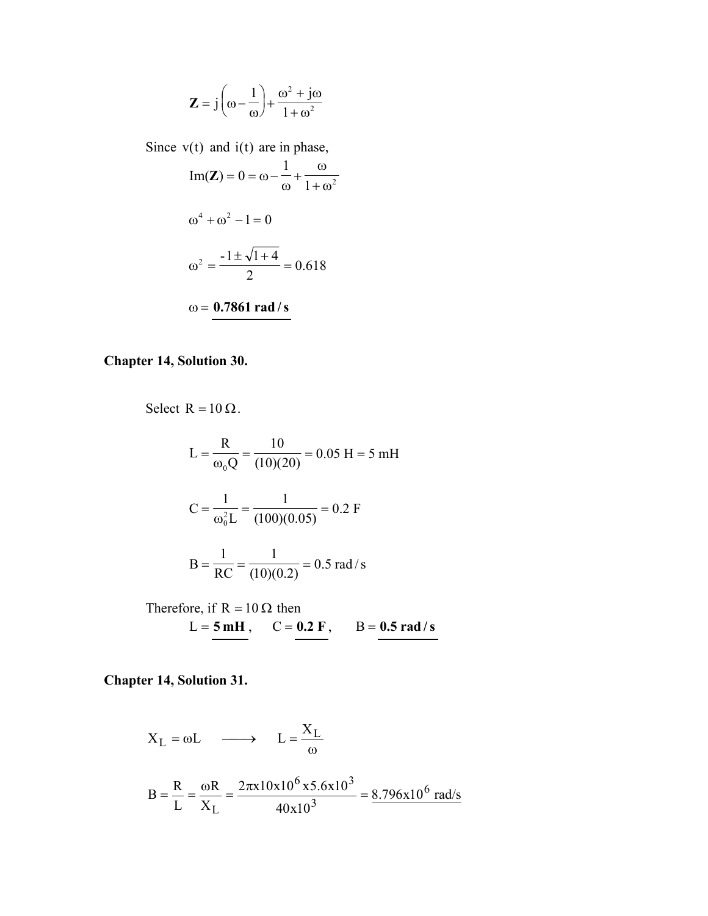$$
\mathbf{Z} = j\left(\omega - \frac{1}{\omega}\right) + \frac{\omega^2 + j\omega}{1 + \omega^2}
$$

Since  $v(t)$  and  $i(t)$  are in phase,  $1 + \omega^2$ 1  $Im(Z) = 0$  $+\omega$ ω + ω  $\mathbf{Z}$ ) = 0 = ω $\omega^4 + \omega^2 - 1 = 0$  $\frac{1}{2}$  = 0.618  $\omega^2 = \frac{-1 \pm \sqrt{1 + 4}}{2}$ ω = **0.7861 rad /s**

#### **Chapter 14, Solution 30.**

Select R = 10 Ω.  
\n
$$
L = \frac{R}{\omega_0 Q} = \frac{10}{(10)(20)} = 0.05 \text{ H} = 5 \text{ mH}
$$
\n
$$
C = \frac{1}{\omega_0^2 L} = \frac{1}{(100)(0.05)} = 0.2 \text{ F}
$$
\n
$$
B = \frac{1}{RC} = \frac{1}{(10)(0.2)} = 0.5 \text{ rad/s}
$$

Therefore, if R = 10 
$$
\Omega
$$
 then  
L = 5 mH, C = 0.2 F, B = 0.5 rad/s

#### **Chapter 14, Solution 31.**

$$
X_L = \omega L \longrightarrow L = \frac{X_L}{\omega}
$$
  

$$
B = \frac{R}{L} = \frac{\omega R}{X_L} = \frac{2\pi x 10x 10^6 x 5.6x 10^3}{40x 10^3} = \frac{8.796x 10^6 \text{ rad/s}}{10^3}
$$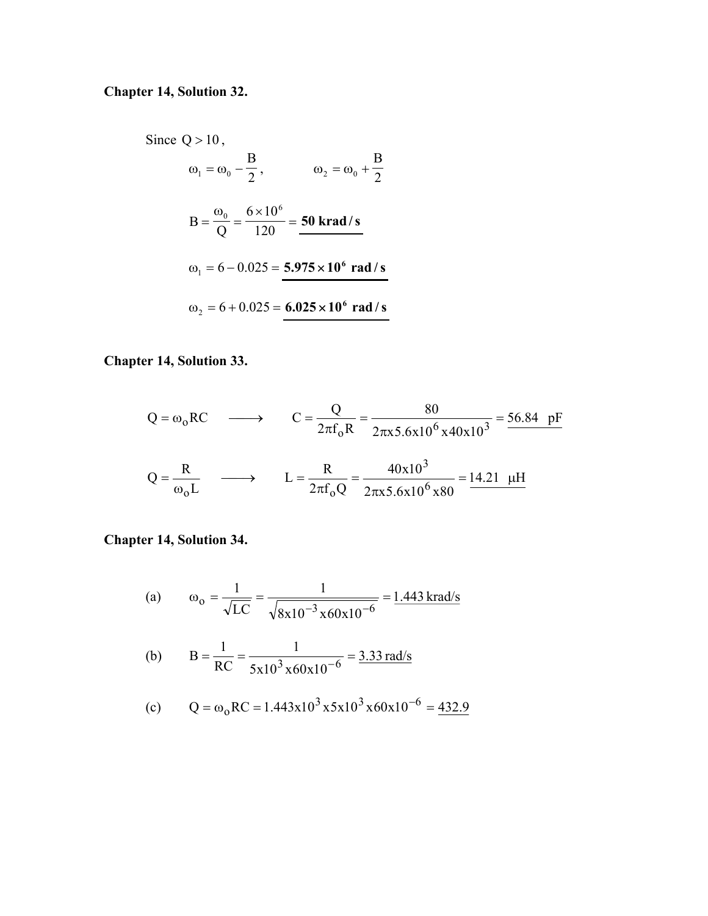### **Chapter 14, Solution 32.**

Since  $Q > 10$ , 2 B  $\omega_1 = \omega_0 - \frac{2}{2}$ ,  $\omega_2 = \omega_0 + \frac{2}{2}$ B  $\omega_2 = \omega_0 +$  $=\frac{\omega_0}{Q} = \frac{6 \times 10^6}{120} =$ Q B  $\frac{6}{\lambda} = \frac{6 \times 10^6}{120} = 50$  krad/s  $\omega_1 = 6 - 0.025 = 5.975 \times 10^6 \text{ rad/s}$  $\omega_2 = 6 + 0.025 = 6.025 \times 10^6 \text{ rad/s}$ 

#### **Chapter 14, Solution 33.**

$$
Q = \omega_0 RC \longrightarrow C = \frac{Q}{2\pi f_0 R} = \frac{80}{2\pi x 5.6 \times 10^6 \times 40 \times 10^3} = \frac{56.84 \text{ pF}}{2 \times 10^6 \times 10^3 \times 10^3} = \frac{56.84 \text{ pF}}{2 \times 10^6 \times 10^3 \times 10^3 \times 10^3} = \frac{14.21 \text{ μH}}{2 \times 10^6 \times 10^6 \times 10^6 \times 10^3 \times 10^3} = \frac{14.21 \text{ μH}}{2 \times 10^6 \times 10^6 \times 10^3 \times 10^3 \times 10^3} = \frac{14.21 \text{ μH}}{2 \times 10^6 \times 10^3 \times 10^3 \times 10^3 \times 10^3} = \frac{14.21 \text{ μH}}{2 \times 10^3 \times 10^3 \times 10^3 \times 10^3 \times 10^3 \times 10^3} = \frac{14.21 \text{ μH}}{2 \times 10^3 \times 10^3 \times 10^3 \times 10^3 \times 10^3 \times 10^3} = \frac{14.21 \text{ μH}}{2 \times 10^3 \times 10^3 \times 10^3 \times 10^3 \times 10^3 \times 10^3} = \frac{14.21 \text{ μH}}{2 \times 10^3 \times 10^3 \times 10^3 \times 10^3 \times 10^3 \times 10^3} = \frac{14.21 \text{ μH}}{2 \times 10^3 \times 10^3 \times 10^3 \times 10^3 \times 10^3 \times 10^3} = \frac{14.21 \text{ μH}}{2 \times 10^3 \times 10^3 \times 10^3 \times 10^3 \times 10^3 \times 10^3 \times 10^3} = \frac{14.21 \text{ μH}}{2 \times 10^3 \times 10^3 \times 10^3 \times 10^3 \times 10^3 \times 10^3 \times 10^3 \times 10^3 \times 10^3 \times 10^3 \times
$$

#### **Chapter 14, Solution 34.**

(a) 
$$
\omega_0 = \frac{1}{\sqrt{LC}} = \frac{1}{\sqrt{8x10^{-3} \times 60x10^{-6}}} = \frac{1.443 \text{ krad/s}}{}
$$

(b) 
$$
B = \frac{1}{RC} = \frac{1}{5x10^3 \times 60x10^{-6}} = \frac{3.33 \text{ rad/s}}{}
$$

(c) 
$$
Q = \omega_0 RC = 1.443x10^3 x5x10^3 x60x10^{-6} = 432.9
$$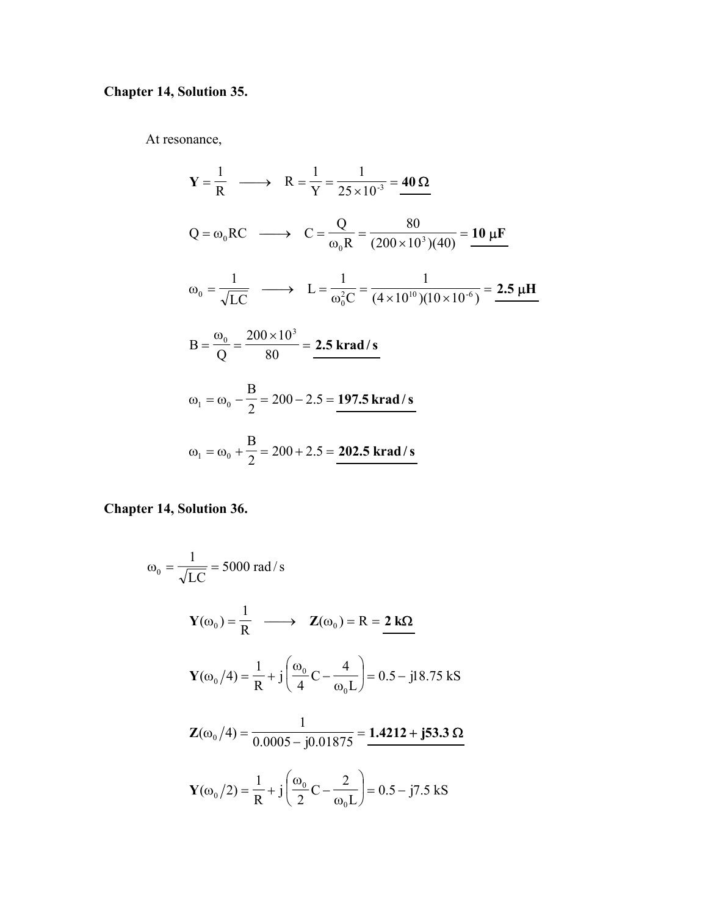# **Chapter 14, Solution 35.**

At resonance,

$$
Y = \frac{1}{R} \longrightarrow R = \frac{1}{Y} = \frac{1}{25 \times 10^{-3}} = 40 \Omega
$$
  
\n
$$
Q = \omega_0 RC \longrightarrow C = \frac{Q}{\omega_0 R} = \frac{80}{(200 \times 10^3)(40)} = 10 \mu F
$$
  
\n
$$
\omega_0 = \frac{1}{\sqrt{LC}} \longrightarrow L = \frac{1}{\omega_0^2 C} = \frac{1}{(4 \times 10^{10})(10 \times 10^{-6})} = 2.5 \mu H
$$
  
\n
$$
B = \frac{\omega_0}{Q} = \frac{200 \times 10^3}{80} = 2.5 \text{ krad/s}
$$
  
\n
$$
\omega_1 = \omega_0 - \frac{B}{2} = 200 - 2.5 = \frac{197.5 \text{ krad/s}}{202.5 \text{ krad/s}}
$$

**Chapter 14, Solution 36.** 

$$
\omega_0 = \frac{1}{\sqrt{LC}} = 5000 \text{ rad/s}
$$
  
\n
$$
\mathbf{Y}(\omega_0) = \frac{1}{R} \longrightarrow \mathbf{Z}(\omega_0) = R = 2 \text{ k}\Omega
$$
  
\n
$$
\mathbf{Y}(\omega_0/4) = \frac{1}{R} + j \left( \frac{\omega_0}{4} C - \frac{4}{\omega_0 L} \right) = 0.5 - j18.75 \text{ kS}
$$
  
\n
$$
\mathbf{Z}(\omega_0/4) = \frac{1}{0.0005 - j0.01875} = 1.4212 + j53.3 \Omega
$$
  
\n
$$
\mathbf{Y}(\omega_0/2) = \frac{1}{R} + j \left( \frac{\omega_0}{2} C - \frac{2}{\omega_0 L} \right) = 0.5 - j7.5 \text{ kS}
$$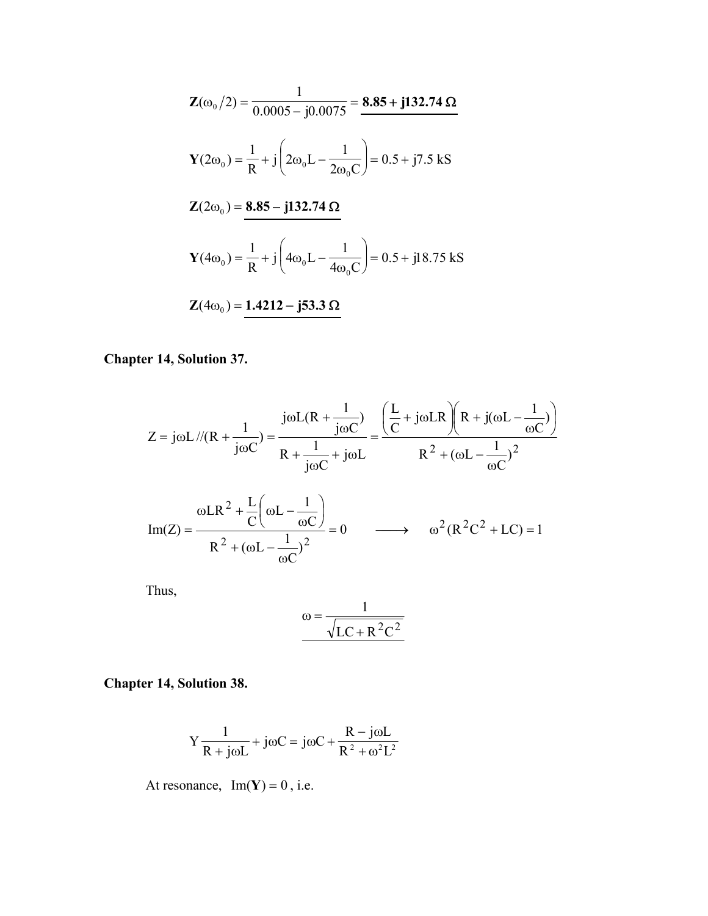$$
\mathbf{Z}(\omega_0/2) = \frac{1}{0.0005 - j0.0075} = \frac{8.85 + j132.74 \,\Omega}{2\omega_0 \,\Omega} \n\mathbf{Y}(2\omega_0) = \frac{1}{R} + j\left(2\omega_0 L - \frac{1}{2\omega_0 C}\right) = 0.5 + j7.5 \,\text{kS}
$$
\n
$$
\mathbf{Z}(2\omega_0) = \frac{8.85 - j132.74 \,\Omega}{R} \n\mathbf{Y}(4\omega_0) = \frac{1}{R} + j\left(4\omega_0 L - \frac{1}{4\omega_0 C}\right) = 0.5 + j18.75 \,\text{kS}
$$
\n
$$
\mathbf{Z}(4\omega_0) = \frac{1.4212 - j53.3 \,\Omega}{R}
$$

# **Chapter 14, Solution 37.**

$$
Z = j\omega L / / (R + \frac{1}{j\omega C}) = \frac{j\omega L(R + \frac{1}{j\omega C})}{R + \frac{1}{j\omega C} + j\omega L} = \frac{\left(\frac{L}{C} + j\omega LR\right) \left(R + j(\omega L - \frac{1}{\omega C})\right)}{R^2 + (\omega L - \frac{1}{\omega C})^2}
$$

$$
\text{Im}(Z) = \frac{\omega \text{L}R^2 + \frac{\text{L}}{\text{C}}\left(\omega \text{L} - \frac{1}{\omega \text{C}}\right)}{\text{R}^2 + (\omega \text{L} - \frac{1}{\omega \text{C}})^2} = 0 \qquad \longrightarrow \qquad \omega^2 \text{R}^2\text{C}^2 + \text{LC} = 1
$$

Thus,

$$
\omega = \frac{1}{\sqrt{LC + R^2C^2}}
$$

**Chapter 14, Solution 38.** 

$$
Y\frac{1}{R + j\omega L} + j\omega C = j\omega C + \frac{R - j\omega L}{R^2 + \omega^2 L^2}
$$

At resonance,  $Im(Y) = 0$ , i.e.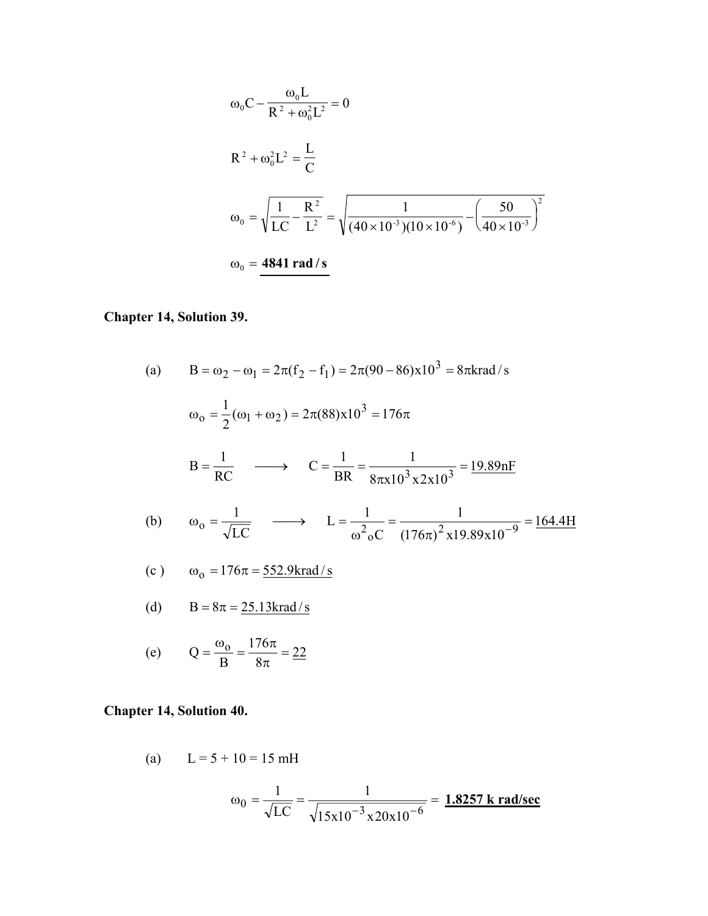$$
\omega_0 C - \frac{\omega_0 L}{R^2 + \omega_0^2 L^2} = 0
$$
  
\n
$$
R^2 + \omega_0^2 L^2 = \frac{L}{C}
$$
  
\n
$$
\omega_0 = \sqrt{\frac{1}{LC} - \frac{R^2}{L^2}} = \sqrt{\frac{1}{(40 \times 10^{-3})(10 \times 10^{-6})} - (\frac{50}{40 \times 10^{-3}})^2}
$$
  
\n
$$
\omega_0 = \frac{4841 \text{ rad/s}}{4841 \text{ rad/s}}
$$

# **Chapter 14, Solution 39.**

(a) 
$$
B = \omega_2 - \omega_1 = 2\pi (f_2 - f_1) = 2\pi (90 - 86) \times 10^3 = 8\pi
$$
krad/s  
\n $\omega_0 = \frac{1}{2} (\omega_1 + \omega_2) = 2\pi (88) \times 10^3 = 176\pi$   
\n $B = \frac{1}{RC}$   $\longrightarrow$   $C = \frac{1}{BR} = \frac{1}{8\pi \times 10^3 \times 2 \times 10^3} = \frac{19.89nF}{8\pi \times 10^3 \times 2 \times 10^3} = \frac{19.89nF}{4\pi \times 10^3 \times 10^3 \times 10^3} = \frac{164.4H}{4\pi \times 10^3 \times 10^3 \times 10^3} = \frac{164.4H}{4\pi \times 10^3 \times 10^3} = \frac{164.4H}{4\pi \times 10^3 \times 10^3} = \frac{164.4H}{4\pi \times 10^3} = \frac{164.4H}{4\pi \times 10^3} = \frac{164.4H}{4\pi \times 10^3} = \frac{164.4H}{4\pi \times 10^3} = \frac{164.4H}{4\pi \times 10^3} = \frac{164.4H}{4\pi \times 10^3} = \frac{164.4H}{4\pi \times 10^3} = \frac{164.4H}{4\pi \times 10^3} = \frac{164.4H}{4\pi \times 10^3} = \frac{164.4H}{4\pi \times 10^3} = \frac{164.4H}{4\pi \times 10^3} = \frac{164.4H}{4\pi \times 10^3} = \frac{164.4H}{4\pi \times 10^3} = \frac{164.4H}{4\pi \times 10^3} = \frac{164.4H}{4\pi \times 10^3} = \frac{164.4H}{4\pi \times 10^3} = \frac{164.4H}{4\pi \times 10^3} = \frac{164.4H}{4\pi \times 10^3} = \frac{164.4H}{4\pi \times 10^3} = \frac{164$ 

### **Chapter 14, Solution 40.**

(a) 
$$
L = 5 + 10 = 15 \text{ mH}
$$
  

$$
\omega_0 = \frac{1}{\sqrt{LC}} = \frac{1}{\sqrt{15 \text{x} 10^{-3} \text{x} 20 \text{x} 10^{-6}}} = \frac{1.8257 \text{ k rad/sec}}{1.8257 \text{ kg cm}}
$$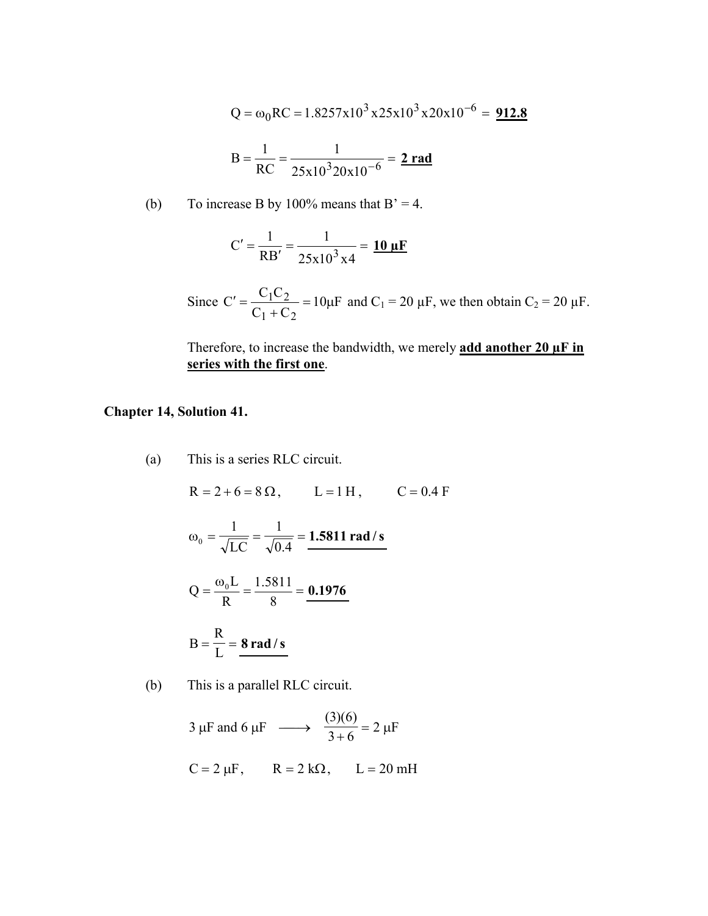$$
Q = \omega_0 RC = 1.8257 \times 10^3 \times 25 \times 10^3 \times 20 \times 10^{-6} = 912.8
$$
  

$$
B = \frac{1}{RC} = \frac{1}{25 \times 10^3 20 \times 10^{-6}} = 2 \text{ rad}
$$

(b) To increase B by 100% means that  $B' = 4$ .

$$
C' = \frac{1}{RB'} = \frac{1}{25x10^3x4} = \frac{10 \,\mu F}{}
$$

Since  $C' = \frac{C_1 C_2}{C_1 C_2} = 10 \mu F$  $C_1 + C$  $\mathcal{C}_{0}^{0}$  $1 + C_2$  $C' = \frac{C_1 C_2}{C_1 + C_2} = 10 \mu F$  and  $C_1 = 20 \mu F$ , we then obtain  $C_2 = 20 \mu F$ .

Therefore, to increase the bandwidth, we merely **add another 20 µF in series with the first one**.

#### **Chapter 14, Solution 41.**

(a) This is a series RLC circuit.

 $R = 2 + 6 = 8 \Omega$ ,  $L = 1 H$ ,  $C = 0.4 F$  $\omega_0 = \frac{1}{\sqrt{LC}} = \frac{1}{\sqrt{0.4}}$ 1 LC 1  $\frac{1}{0} = \frac{1}{\sqrt{LC}} = \frac{1}{\sqrt{Q}} = 1.5811$  rad / s

$$
Q = \frac{\omega_0 L}{R} = \frac{1.5811}{8} = \frac{0.1976}{}
$$

$$
B = \frac{R}{L} = \frac{8 \text{ rad/s}}{}
$$

(b) This is a parallel RLC circuit.

 $2 \mu F$ 3  $\mu$ F and 6  $\mu$ F  $\longrightarrow \frac{(3)(6)}{3+6} = 2 \mu$  $C = 2 \mu F$ ,  $R = 2 k\Omega$ ,  $L = 20 \text{ mH}$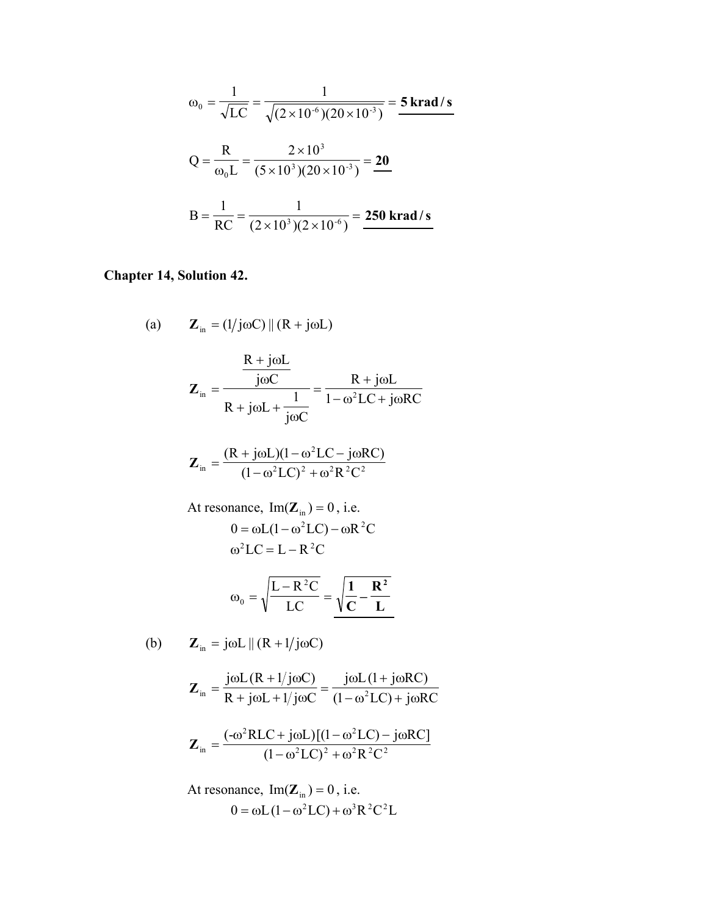$$
\omega_0 = \frac{1}{\sqrt{LC}} = \frac{1}{\sqrt{(2 \times 10^{-6})(20 \times 10^{-3})}} = 5 \text{ krad/s}
$$
  

$$
Q = \frac{R}{\omega_0 L} = \frac{2 \times 10^3}{(5 \times 10^3)(20 \times 10^{-3})} = \frac{20}{20}
$$
  

$$
B = \frac{1}{RC} = \frac{1}{(2 \times 10^3)(2 \times 10^{-6})} = \frac{250 \text{ krad/s}}{250 \text{ krad/s}}
$$

# **Chapter 14, Solution 42.**

(a) 
$$
\mathbf{Z}_{in} = (1/j\omega C) || (R + j\omega L)
$$
  

$$
\mathbf{Z}_{in} = \frac{\frac{R + j\omega L}{j\omega C}}{R + j\omega L + \frac{1}{j\omega C}} = \frac{R + j\omega L}{1 - \omega^{2} LC + j\omega RC}
$$

$$
\mathbf{Z}_{\text{in}} = \frac{(R + j\omega L)(1 - \omega^2 LC - j\omega RC)}{(1 - \omega^2 LC)^2 + \omega^2 R^2 C^2}
$$

At resonance, 
$$
Im(\mathbf{Z}_{in}) = 0
$$
, i.e.  
\n
$$
0 = \omega L(1 - \omega^2 LC) - \omega R^2 C
$$
\n
$$
\omega^2 LC = L - R^2 C
$$

$$
\omega_0 = \sqrt{\frac{L - R^2 C}{LC}} = \sqrt{\frac{1}{C} - \frac{R^2}{L}}
$$

(b) 
$$
\mathbf{Z}_{in} = j\omega L \parallel (R + 1/j\omega C)
$$

$$
\mathbf{Z}_{in} = \frac{j\omega L (R + 1/j\omega C)}{R + j\omega L + 1/j\omega C} = \frac{j\omega L (1 + j\omega RC)}{(1 - \omega^{2} LC) + j\omega RC}
$$

$$
\mathbf{Z}_{in} = \frac{(-\omega^2 RLC + j\omega L)[(1 - \omega^2 LC) - j\omega RC]}{(1 - \omega^2 LC)^2 + \omega^2 R^2 C^2}
$$

At resonance, Im(
$$
\mathbf{Z}_{\text{in}}
$$
) = 0, i.e.  
0 =  $\omega L (1 - \omega^2 LC) + \omega^3 R^2 C^2 L$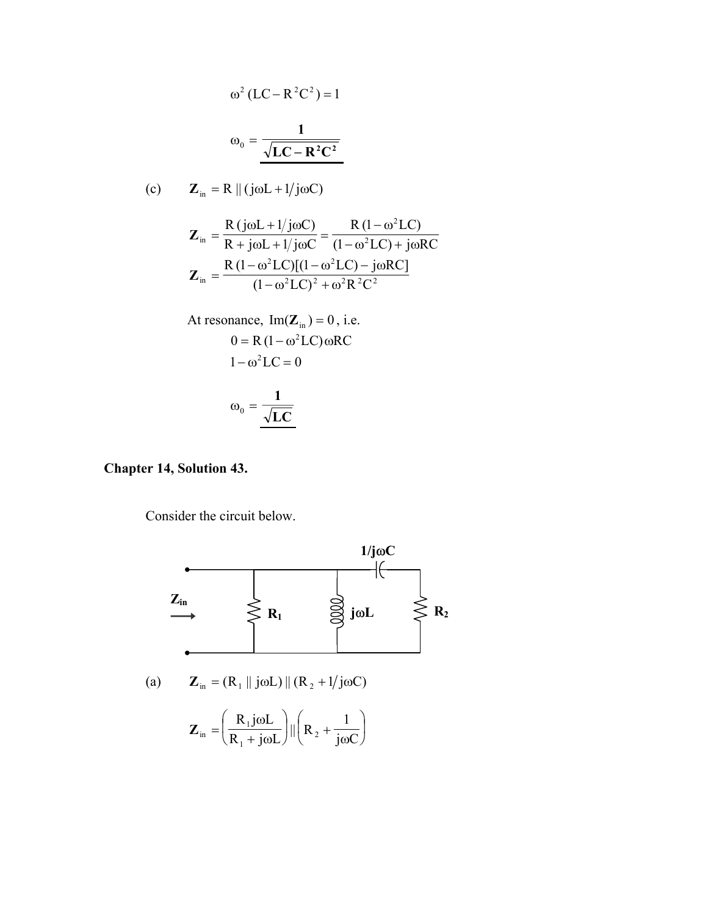$$
\omega^2 (LC - R^2C^2) = 1
$$

$$
\omega_0 = \frac{1}{\sqrt{LC - R^2C^2}}
$$

(c) 
$$
\mathbf{Z}_{in} = R \parallel (j\omega L + 1/j\omega C)
$$

$$
\mathbf{Z}_{in} = \frac{R(j\omega L + 1/j\omega C)}{R + j\omega L + 1/j\omega C} = \frac{R (1 - \omega^{2} LC)}{(1 - \omega^{2} LC) + j\omega RC}
$$

$$
\mathbf{Z}_{in} = \frac{R (1 - \omega^{2} LC)[(1 - \omega^{2} LC) - j\omega RC]}{(1 - \omega^{2} LC)^{2} + \omega^{2} R^{2} C^{2}}
$$

At resonance, Im(
$$
\mathbf{Z}_{in}
$$
) = 0, i.e.  
\n
$$
0 = R (1 - \omega^{2} LC) \omega RC
$$
\n
$$
1 - \omega^{2} LC = 0
$$
\n
$$
\omega_{0} = \frac{1}{\sqrt{LC}}
$$

#### **Chapter 14, Solution 43.**

Consider the circuit below.

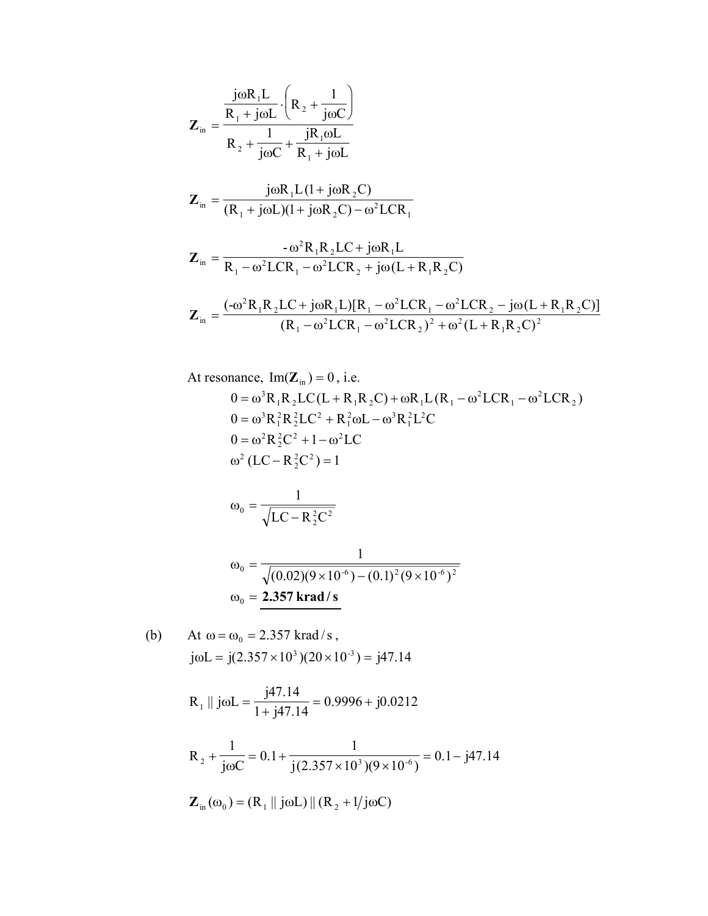$$
Z_{in} = \frac{\frac{j\omega R_{1}L}{R_{1} + j\omega L} \cdot \left(R_{2} + \frac{1}{j\omega C}\right)}{R_{2} + \frac{1}{j\omega C} + \frac{jR_{1}\omega L}{R_{1} + j\omega L}}
$$
\n
$$
Z_{in} = \frac{j\omega R_{1}L(1 + j\omega R_{2}C)}{(R_{1} + j\omega L)(1 + j\omega R_{2}C) - \omega^{2}LCR_{1}}
$$
\n
$$
Z_{in} = \frac{-\omega^{2}R_{1}R_{2}LC + j\omega R_{1}L}{R_{1} - \omega^{2}LCR_{1} - \omega^{2}LCR_{2} + j\omega (L + R_{1}R_{2}C)}
$$
\n
$$
Z_{in} = \frac{(-\omega^{2}R_{1}R_{2}LC + j\omega R_{1}L)[R_{1} - \omega^{2}LCR_{1} - \omega^{2}LCR_{2} - j\omega (L + R_{1}R_{2}C)]}{(R_{1} - \omega^{2}LCR_{1} - \omega^{2}LCR_{2})^{2} + \omega^{2}(L + R_{1}R_{2}C)^{2}}
$$

At resonance, Im(
$$
\mathbf{Z}_{in}
$$
) = 0, i.e.  
\n
$$
0 = \omega^{3} R_{1} R_{2} LC(L + R_{1} R_{2} C) + \omega R_{1} L(R_{1} - \omega^{2} L C R_{1} - \omega^{2} L C R_{2})
$$
\n
$$
0 = \omega^{3} R_{1}^{2} R_{2}^{2} LC^{2} + R_{1}^{2} \omega L - \omega^{3} R_{1}^{2} L^{2} C
$$
\n
$$
0 = \omega^{2} R_{2}^{2} C^{2} + 1 - \omega^{2} LC
$$
\n
$$
\omega^{2} (LC - R_{2}^{2} C^{2}) = 1
$$
\n
$$
\omega_{0} = \frac{1}{\sqrt{LC - R_{2}^{2} C^{2}}}
$$

$$
\omega_0 = \frac{1}{\sqrt{(0.02)(9 \times 10^{-6}) - (0.1)^2 (9 \times 10^{-6})^2}}
$$
  

$$
\omega_0 = 2.357 \text{ krad/s}
$$

(b) At 
$$
\omega = \omega_0 = 2.357
$$
 krad/s,  
\n $j\omega L = j(2.357 \times 10^3)(20 \times 10^{-3}) = j47.14$ 

$$
R_1 \parallel j\omega L = \frac{j47.14}{1 + j47.14} = 0.9996 + j0.0212
$$

$$
R_2 + \frac{1}{j\omega C} = 0.1 + \frac{1}{j(2.357 \times 10^3)(9 \times 10^{-6})} = 0.1 - j47.14
$$
  

$$
Z_{in}(\omega_0) = (R_1 || j\omega L) || (R_2 + 1/j\omega C)
$$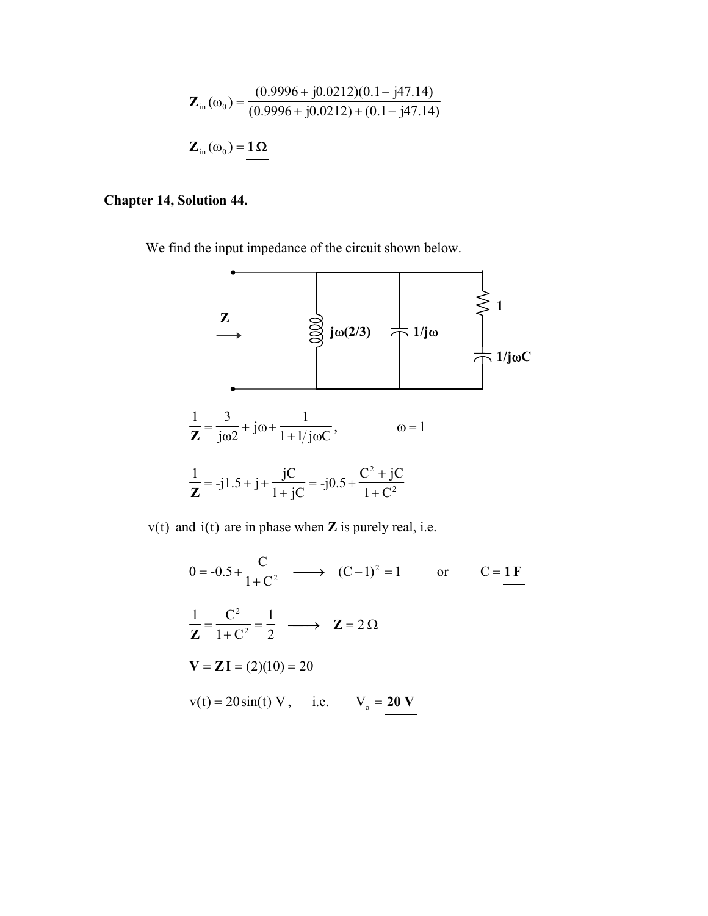$$
\mathbf{Z}_{in}(\omega_0) = \frac{(0.9996 + j0.0212)(0.1 - j47.14)}{(0.9996 + j0.0212) + (0.1 - j47.14)}
$$

$$
\mathbf{Z}_{in}(\omega_0) = \mathbf{1}\Omega
$$

#### **Chapter 14, Solution 44.**

We find the input impedance of the circuit shown below.



v(t) and i(t) are in phase when **Z** is purely real, i.e.

$$
0 = -0.5 + \frac{C}{1 + C^2} \longrightarrow (C - 1)^2 = 1 \text{ or } C = \underline{1F}
$$
  

$$
\frac{1}{Z} = \frac{C^2}{1 + C^2} = \frac{1}{2} \longrightarrow Z = 2 \Omega
$$
  

$$
V = ZI = (2)(10) = 20
$$
  

$$
v(t) = 20 \sin(t) V, \quad i.e. \quad V_0 = 20 V
$$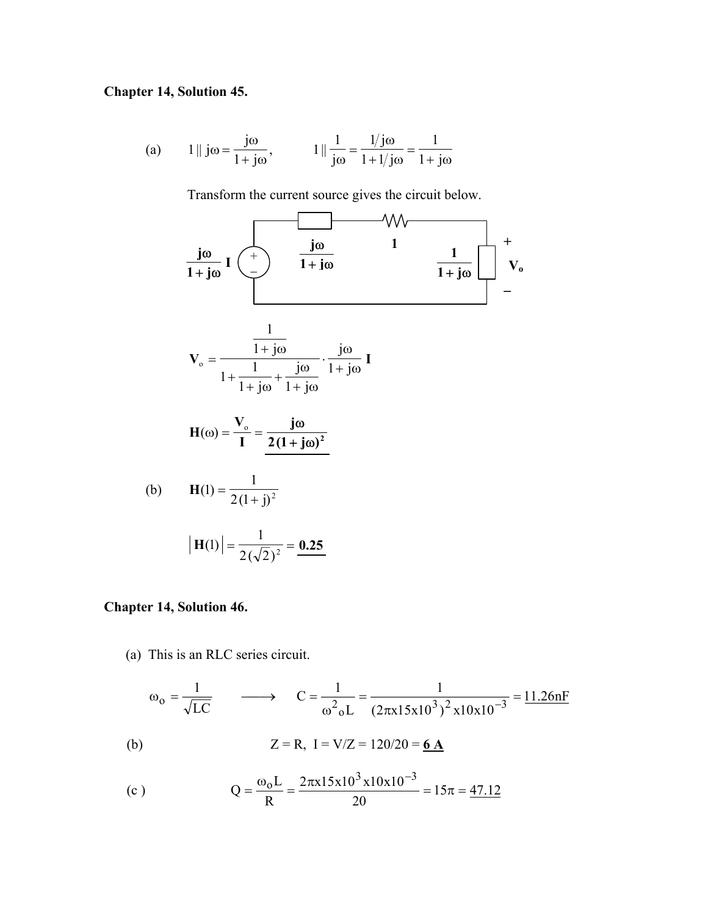#### **Chapter 14, Solution 45.**

(a) 
$$
1 \parallel j\omega = \frac{j\omega}{1 + j\omega}, \qquad 1 \parallel \frac{1}{j\omega} = \frac{1/j\omega}{1 + 1/j\omega} = \frac{1}{1 + j\omega}
$$

Transform the current source gives the circuit below.



#### **Chapter 14, Solution 46.**

(a) This is an RLC series circuit.

$$
\omega_0 = \frac{1}{\sqrt{LC}}
$$
  $\longrightarrow$   $C = \frac{1}{\omega^2 {}_0L} = \frac{1}{(2\pi x 15x 10^3)^2 x 10x 10^{-3}} = 11.26nF$   
(b)  $Z = R$ ,  $I = V/Z = 120/20 = 6A$ 

(c) 
$$
Q = \frac{\omega_0 L}{R} = \frac{2\pi x 15x 10^3 x 10x 10^{-3}}{20} = 15\pi = \frac{47.12}{20}
$$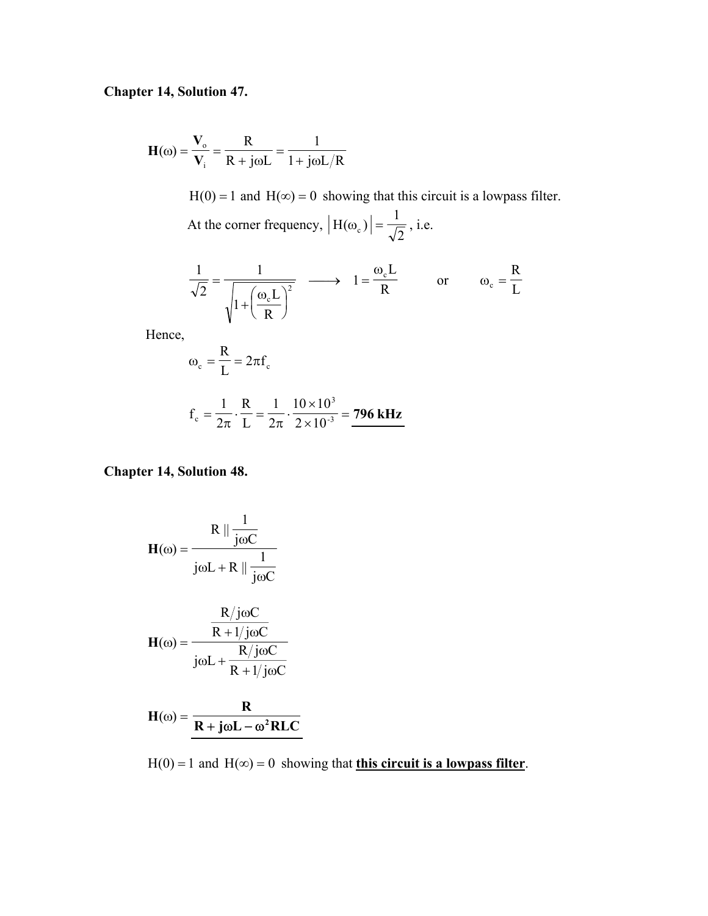# **Chapter 14, Solution 47.**

$$
\mathbf{H}(\omega) = \frac{\mathbf{V}_{o}}{\mathbf{V}_{i}} = \frac{\mathbf{R}}{\mathbf{R} + \mathbf{j}\omega L} = \frac{1}{1 + \mathbf{j}\omega L / \mathbf{R}}
$$
  
H(0) = 1 and H( $\infty$ ) = 0 showing that this circuit is a lowpass filter.  
At the corner frequency,  $|\mathbf{H}(\omega_{c})| = \frac{1}{\sqrt{2}}$ , i.e.

$$
\frac{1}{\sqrt{2}} = \frac{1}{\sqrt{1 + \left(\frac{\omega_c L}{R}\right)^2}} \longrightarrow 1 = \frac{\omega_c L}{R} \qquad \text{or} \qquad \omega_c = \frac{R}{L}
$$

Hence,

$$
\omega_{\rm c} = \frac{R}{L} = 2\pi f_{\rm c}
$$

$$
f_c = \frac{1}{2\pi} \cdot \frac{R}{L} = \frac{1}{2\pi} \cdot \frac{10 \times 10^3}{2 \times 10^{-3}} = 796 \text{ kHz}
$$

### **Chapter 14, Solution 48.**

$$
\mathbf{H}(\omega) = \frac{\mathbf{R} \parallel \frac{1}{j\omega C}}{j\omega L + \mathbf{R} \parallel \frac{1}{j\omega C}}
$$

$$
\mathbf{H}(\omega) = \frac{\frac{\mathbf{R}/j\omega C}{\mathbf{R} + 1/j\omega C}}{\mathbf{R}/j\omega C}
$$

$$
j\omega L + \frac{R}{R + 1/j\omega C}
$$

$$
H(\omega) = \frac{R}{R + j\omega L - \omega^2 R L C}
$$

H(0) = 1 and H( $\infty$ ) = 0 showing that **this circuit is a lowpass filter**.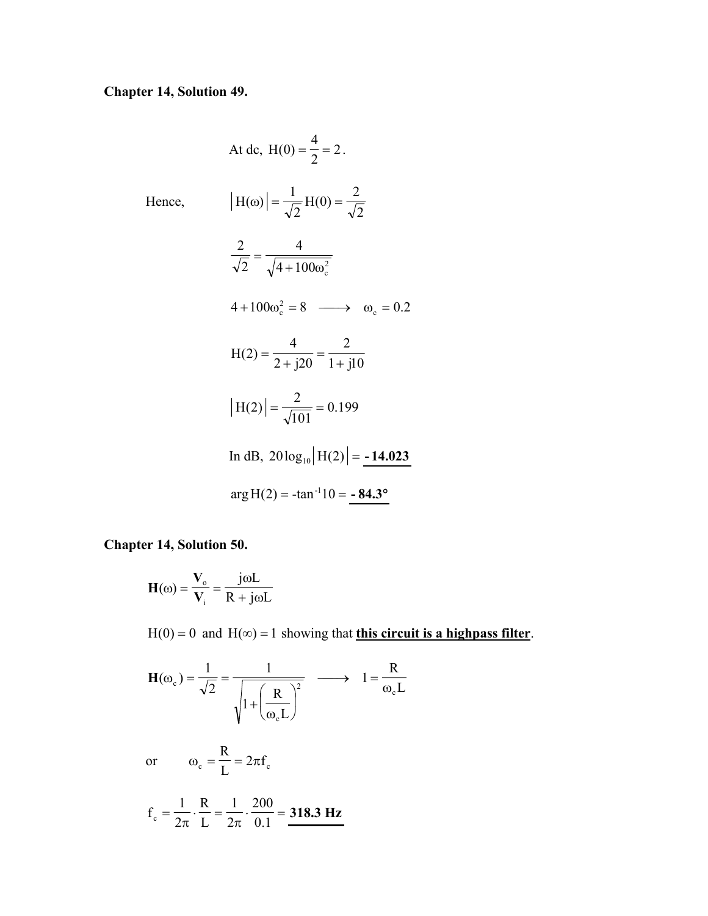# **Chapter 14, Solution 49.**

Hence,

At dc, 
$$
H(0) = \frac{4}{2} = 2
$$
.  
\n
$$
|H(\omega)| = \frac{1}{\sqrt{2}} H(0) = \frac{2}{\sqrt{2}}
$$
\n
$$
\frac{2}{\sqrt{2}} = \frac{4}{\sqrt{4 + 100\omega_c^2}}
$$
\n
$$
4 + 100\omega_c^2 = 8 \longrightarrow \omega_c = 0.2
$$
\n
$$
H(2) = \frac{4}{2 + j20} = \frac{2}{1 + j10}
$$
\n
$$
|H(2)| = \frac{2}{\sqrt{101}} = 0.199
$$
\nIn dB,  $20 \log_{10} |H(2)| = -14.023$   
\n
$$
\arg H(2) = -\tan^{-1} 10 = -84.3^\circ
$$

### **Chapter 14, Solution 50.**

$$
H(\omega) = \frac{V_{o}}{V_{i}} = \frac{j\omega L}{R + j\omega L}
$$

 $H(0) = 0$  and  $H(\infty) = 1$  showing that **this circuit is a highpass filter**.

$$
\mathbf{H}(\omega_{c}) = \frac{1}{\sqrt{2}} = \frac{1}{\sqrt{1 + \left(\frac{R}{\omega_{c} L}\right)^{2}}} \longrightarrow 1 = \frac{R}{\omega_{c} L}
$$

or 
$$
\omega_c = \frac{R}{L} = 2\pi f_c
$$

$$
f_c = \frac{1}{2\pi} \cdot \frac{R}{L} = \frac{1}{2\pi} \cdot \frac{200}{0.1} = 318.3 \text{ Hz}
$$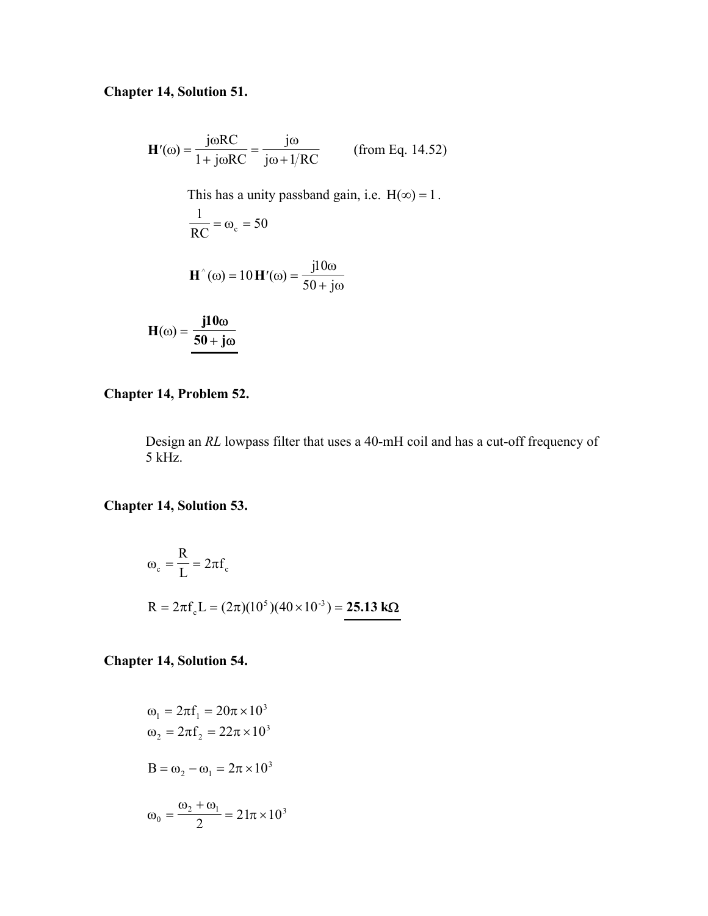### **Chapter 14, Solution 51.**

$$
\mathbf{H}'(\omega) = \frac{\mathbf{j}\omega RC}{1 + \mathbf{j}\omega RC} = \frac{\mathbf{j}\omega}{\mathbf{j}\omega + 1/RC}
$$
 (from Eq. 14.52)  
This has a unity passband gain, i.e.  $H(\infty) = 1$ .  

$$
\frac{1}{RC} = \omega_c = 50
$$
  

$$
\mathbf{H}^{\wedge}(\omega) = 10 \mathbf{H}'(\omega) = \frac{\mathbf{j}10\omega}{50 + \mathbf{j}\omega}
$$
  

$$
\mathbf{H}(\omega) = \frac{\mathbf{j}10\omega}{50 + \mathbf{j}\omega}
$$

### **Chapter 14, Problem 52.**

Design an *RL* lowpass filter that uses a 40-mH coil and has a cut-off frequency of 5 kHz.

### **Chapter 14, Solution 53.**

$$
\omega_c = \frac{R}{L} = 2\pi f_c
$$
  
R = 2\pi f\_c L = (2\pi)(10^5)(40 \times 10^{-3}) = **25.13 k\Omega**

### **Chapter 14, Solution 54.**

$$
\omega_1 = 2\pi f_1 = 20\pi \times 10^3
$$
  
\n
$$
\omega_2 = 2\pi f_2 = 22\pi \times 10^3
$$
  
\n
$$
B = \omega_2 - \omega_1 = 2\pi \times 10^3
$$
  
\n
$$
\omega_0 = \frac{\omega_2 + \omega_1}{2} = 21\pi \times 10^3
$$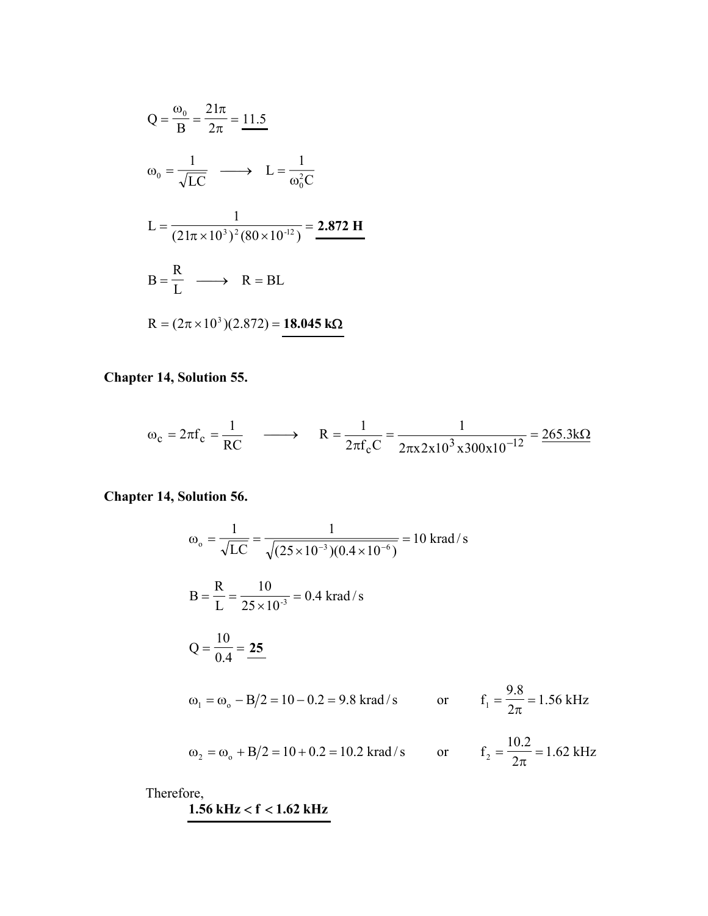$$
Q = \frac{\omega_0}{B} = \frac{21\pi}{2\pi} = 11.5
$$
  
\n
$$
\omega_0 = \frac{1}{\sqrt{LC}} \longrightarrow L = \frac{1}{\omega_0^2 C}
$$
  
\n
$$
L = \frac{1}{(21\pi \times 10^3)^2 (80 \times 10^{-12})} = 2.872 \text{ H}
$$
  
\n
$$
B = \frac{R}{L} \longrightarrow R = BL
$$
  
\n
$$
R = (2\pi \times 10^3)(2.872) = 18.045 \text{ k}\Omega
$$

**Chapter 14, Solution 55.** 

$$
\omega_c = 2\pi f_c = \frac{1}{RC}
$$
  $\longrightarrow$   $R = \frac{1}{2\pi f_c C} = \frac{1}{2\pi x 2x 10^3 x 300x 10^{-12}} = \frac{265.3k\Omega}{265.3k\Omega}$ 

**Chapter 14, Solution 56.** 

$$
\omega_0 = \frac{1}{\sqrt{LC}} = \frac{1}{\sqrt{(25 \times 10^{-3})(0.4 \times 10^{-6})}} = 10 \text{ krad/s}
$$
  
\n
$$
B = \frac{R}{L} = \frac{10}{25 \times 10^{-3}} = 0.4 \text{ krad/s}
$$
  
\n
$$
Q = \frac{10}{0.4} = \frac{25}{25}
$$
  
\n
$$
\omega_1 = \omega_0 - B/2 = 10 - 0.2 = 9.8 \text{ krad/s} \qquad \text{or} \qquad f_1 = \frac{9.8}{2\pi} = 1.56 \text{ kHz}
$$
  
\n
$$
\omega_2 = \omega_0 + B/2 = 10 + 0.2 = 10.2 \text{ krad/s} \qquad \text{or} \qquad f_2 = \frac{10.2}{2\pi} = 1.62 \text{ kHz}
$$

Therefore,

**1.56 kHz** < **f** < **1.62 kHz**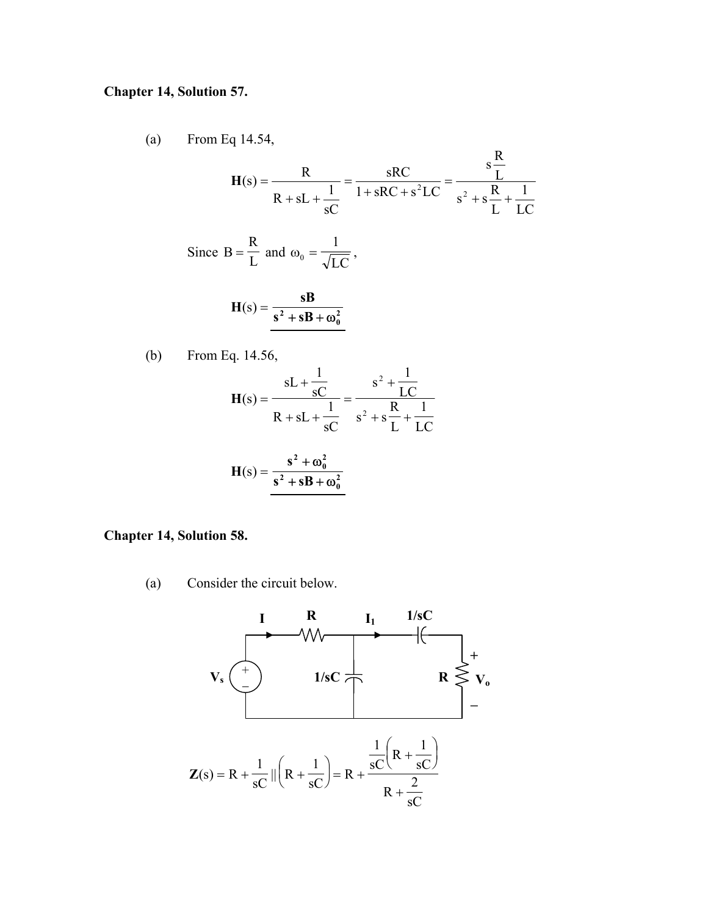#### **Chapter 14, Solution 57.**

(a) From Eq 14.54,

$$
H(s) = \frac{R}{R + sL + \frac{1}{sC}} = \frac{sRC}{1 + sRC + s^2LC} = \frac{s\frac{R}{L}}{s^2 + s\frac{R}{L} + \frac{1}{LC}}
$$
  
Since B =  $\frac{R}{L}$  and  $\omega_0 = \frac{1}{\sqrt{LC}}$ ,  

$$
H(s) = \frac{sB}{s^2 + sB + \omega_0^2}
$$

(b) From Eq. 14.56,

$$
H(s) = \frac{sL + \frac{1}{sC}}{R + sL + \frac{1}{sC}} = \frac{s^2 + \frac{1}{LC}}{s^2 + s\frac{R}{L} + \frac{1}{LC}}
$$

$$
H(s) = \frac{s^2 + \omega_0^2}{s^2 + sB + \omega_0^2}
$$

#### **Chapter 14, Solution 58.**

(a) Consider the circuit below.

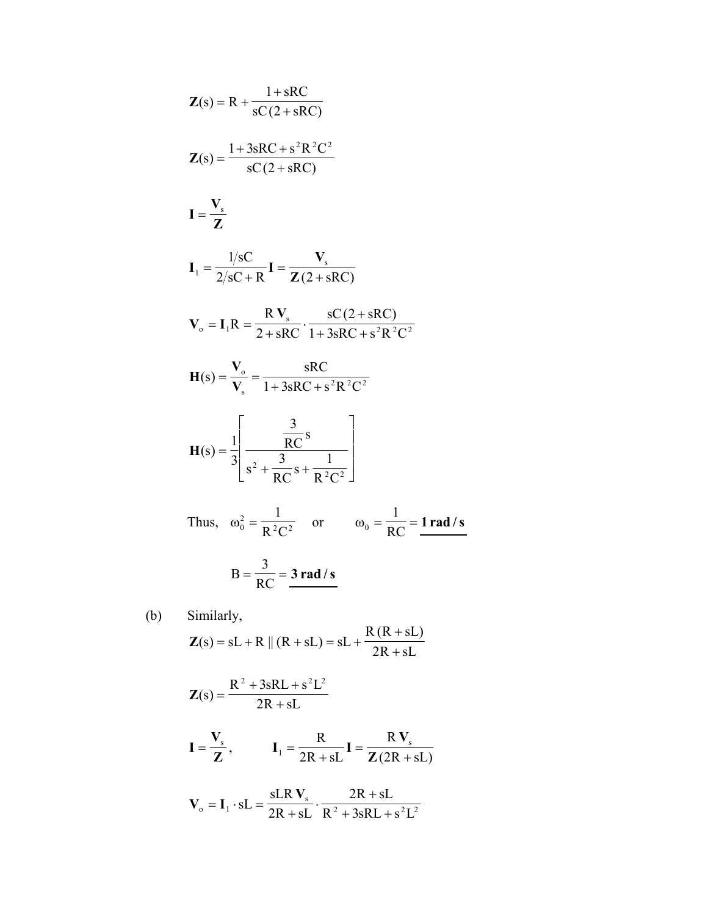$$
Z(s) = R + \frac{1 + SRC}{sC(2 + sRC)}
$$
  
\n
$$
Z(s) = \frac{1 + 3sRC + s^2R^2C^2}{sC(2 + sRC)}
$$
  
\n
$$
I = \frac{V_s}{Z}
$$
  
\n
$$
I_1 = \frac{1/sC}{2/sC + R}I = \frac{V_s}{Z(2 + sRC)}
$$
  
\n
$$
V_o = I_1R = \frac{RV_s}{2 + sRC} \cdot \frac{sC(2 + sRC)}{1 + 3sRC + s^2R^2C^2}
$$
  
\n
$$
H(s) = \frac{V_o}{V_s} = \frac{sRC}{1 + 3sRC + s^2R^2C^2}
$$
  
\n
$$
H(s) = \frac{1}{3} \left[ \frac{\frac{3}{RC}s}{s^2 + \frac{3}{RC}s + \frac{1}{R^2C^2}} \right]
$$
  
\nThus,  $\omega_o^2 = \frac{1}{R^2C^2}$  or  $\omega_o = \frac{1}{RC} = \frac{1 \text{ rad/s}}{R}$   
\n
$$
B = \frac{3}{RC} = \frac{3 \text{ rad/s}}{R}
$$

(b) Similarly,

$$
\mathbf{Z}(s) = sL + R \parallel (R + sL) = sL + \frac{R (R + sL)}{2R + sL}
$$

$$
\mathbf{Z}(s) = \frac{R^2 + 3sRL + s^2L^2}{2R + sL}
$$

$$
\mathbf{I} = \frac{\mathbf{V}_s}{\mathbf{Z}}, \qquad \mathbf{I}_1 = \frac{\mathbf{R}}{2\mathbf{R} + s\mathbf{L}} \mathbf{I} = \frac{\mathbf{R} \mathbf{V}_s}{\mathbf{Z}(2\mathbf{R} + s\mathbf{L})}
$$

$$
\mathbf{V}_{\text{o}} = \mathbf{I}_{1} \cdot \mathbf{s} \mathbf{L} = \frac{\mathbf{s} \mathbf{L} \mathbf{R} \mathbf{V}_{\text{s}}}{2 \mathbf{R} + \mathbf{s} \mathbf{L}} \cdot \frac{2 \mathbf{R} + \mathbf{s} \mathbf{L}}{\mathbf{R}^{2} + 3 \mathbf{s} \mathbf{R} \mathbf{L} + \mathbf{s}^{2} \mathbf{L}^{2}}
$$